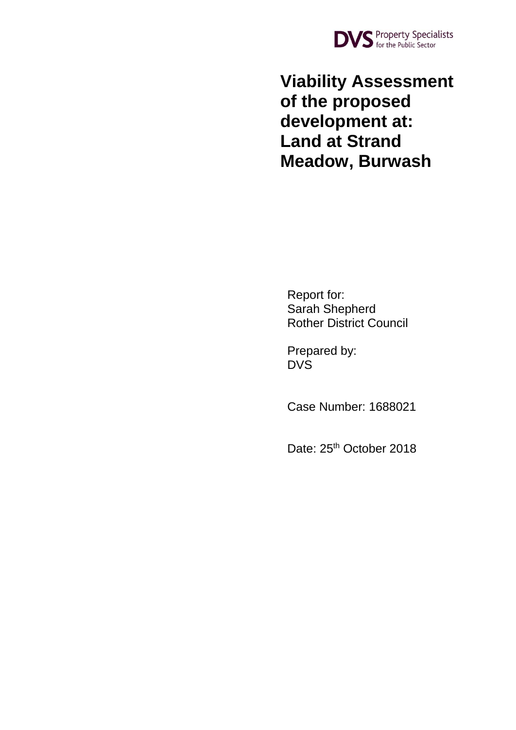

**Viability Assessment of the proposed development at: Land at Strand Meadow, Burwash**

Report for: Sarah Shepherd Rother District Council

Prepared by: DVS

Case Number: 1688021

Date: 25<sup>th</sup> October 2018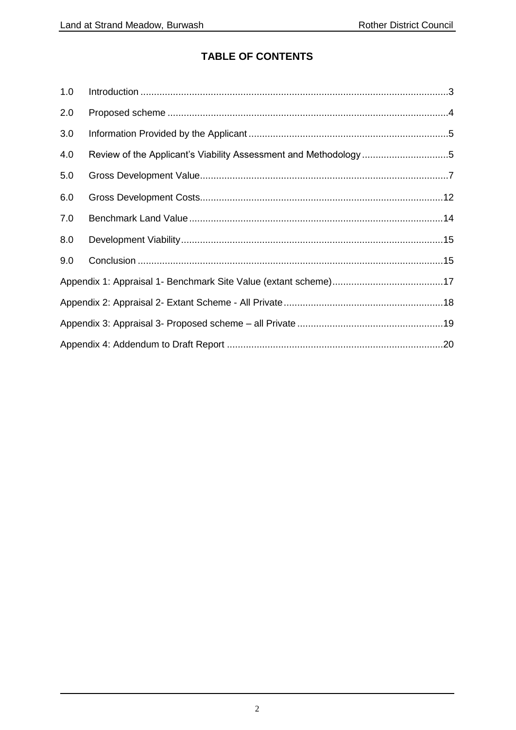## **TABLE OF CONTENTS**

| 1.0 |                                                                 |
|-----|-----------------------------------------------------------------|
| 2.0 |                                                                 |
| 3.0 |                                                                 |
| 4.0 | Review of the Applicant's Viability Assessment and Methodology5 |
| 5.0 |                                                                 |
| 6.0 |                                                                 |
| 7.0 |                                                                 |
| 8.0 |                                                                 |
| 9.0 |                                                                 |
|     |                                                                 |
|     |                                                                 |
|     |                                                                 |
|     |                                                                 |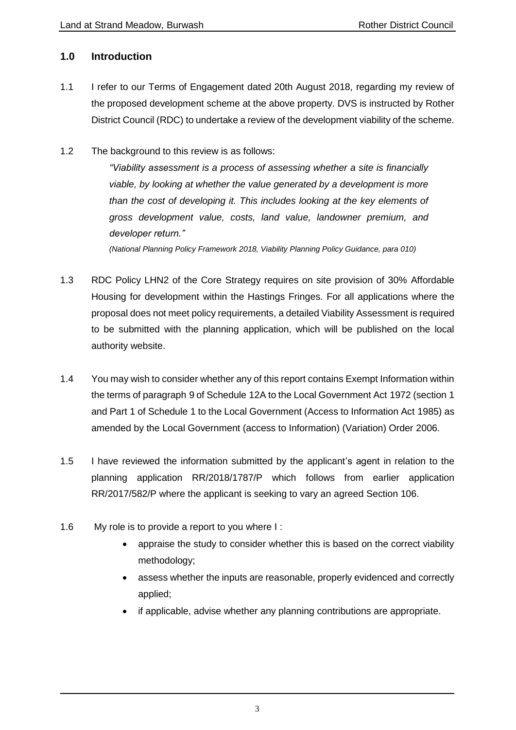## <span id="page-2-0"></span>**1.0 Introduction**

- 1.1 I refer to our Terms of Engagement dated 20th August 2018, regarding my review of the proposed development scheme at the above property. DVS is instructed by Rother District Council (RDC) to undertake a review of the development viability of the scheme.
- 1.2 The background to this review is as follows:

*"Viability assessment is a process of assessing whether a site is financially viable, by looking at whether the value generated by a development is more than the cost of developing it. This includes looking at the key elements of gross development value, costs, land value, landowner premium, and developer return."*

*(National Planning Policy Framework 2018, Viability Planning Policy Guidance, para 010)*

- 1.3 RDC Policy LHN2 of the Core Strategy requires on site provision of 30% Affordable Housing for development within the Hastings Fringes. For all applications where the proposal does not meet policy requirements, a detailed Viability Assessment is required to be submitted with the planning application, which will be published on the local authority website.
- 1.4 You may wish to consider whether any of this report contains Exempt Information within the terms of paragraph 9 of Schedule 12A to the Local Government Act 1972 (section 1 and Part 1 of Schedule 1 to the Local Government (Access to Information Act 1985) as amended by the Local Government (access to Information) (Variation) Order 2006.
- 1.5 I have reviewed the information submitted by the applicant's agent in relation to the planning application RR/2018/1787/P which follows from earlier application RR/2017/582/P where the applicant is seeking to vary an agreed Section 106.
- 1.6 My role is to provide a report to you where I :
	- appraise the study to consider whether this is based on the correct viability methodology;
	- assess whether the inputs are reasonable, properly evidenced and correctly applied;
	- if applicable, advise whether any planning contributions are appropriate.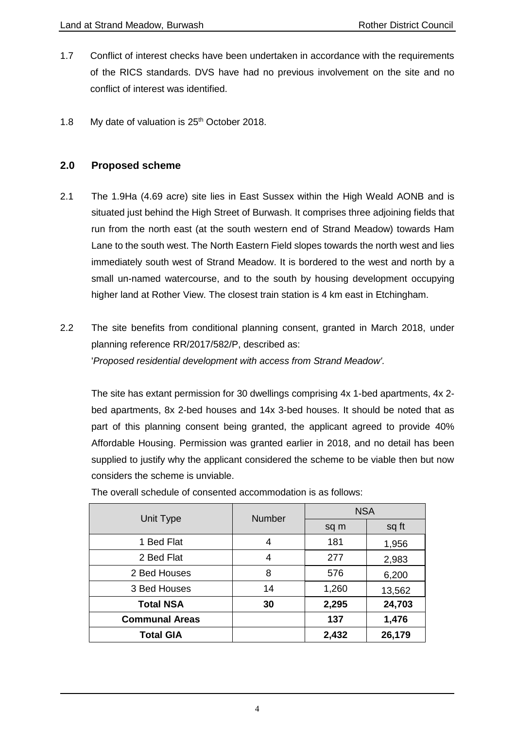- 1.7 Conflict of interest checks have been undertaken in accordance with the requirements of the RICS standards. DVS have had no previous involvement on the site and no conflict of interest was identified.
- 1.8 My date of valuation is 25<sup>th</sup> October 2018.

## <span id="page-3-0"></span>**2.0 Proposed scheme**

- 2.1 The 1.9Ha (4.69 acre) site lies in East Sussex within the High Weald AONB and is situated just behind the High Street of Burwash. It comprises three adjoining fields that run from the north east (at the south western end of Strand Meadow) towards Ham Lane to the south west. The North Eastern Field slopes towards the north west and lies immediately south west of Strand Meadow. It is bordered to the west and north by a small un-named watercourse, and to the south by housing development occupying higher land at Rother View. The closest train station is 4 km east in Etchingham.
- 2.2 The site benefits from conditional planning consent, granted in March 2018, under planning reference RR/2017/582/P, described as: '*Proposed residential development with access from Strand Meadow'.*

The site has extant permission for 30 dwellings comprising 4x 1-bed apartments, 4x 2 bed apartments, 8x 2-bed houses and 14x 3-bed houses. It should be noted that as part of this planning consent being granted, the applicant agreed to provide 40% Affordable Housing. Permission was granted earlier in 2018, and no detail has been supplied to justify why the applicant considered the scheme to be viable then but now considers the scheme is unviable.

| Unit Type             | <b>Number</b> | <b>NSA</b> |        |  |
|-----------------------|---------------|------------|--------|--|
|                       |               | sq m       | sq ft  |  |
| 1 Bed Flat            | 4             | 181        | 1,956  |  |
| 2 Bed Flat            | 4             | 277        | 2,983  |  |
| 2 Bed Houses          | 8             | 576        | 6,200  |  |
| 3 Bed Houses          | 14            | 1,260      | 13,562 |  |
| <b>Total NSA</b>      | 30            | 2,295      | 24,703 |  |
| <b>Communal Areas</b> |               | 137        | 1,476  |  |
| <b>Total GIA</b>      |               | 2,432      | 26,179 |  |

The overall schedule of consented accommodation is as follows: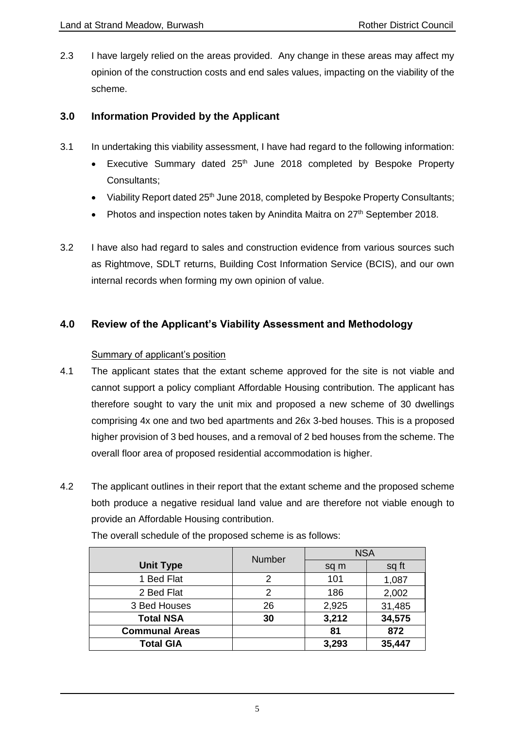2.3 I have largely relied on the areas provided. Any change in these areas may affect my opinion of the construction costs and end sales values, impacting on the viability of the scheme.

## <span id="page-4-0"></span>**3.0 Information Provided by the Applicant**

- 3.1 In undertaking this viability assessment, I have had regard to the following information:
	- Executive Summary dated  $25<sup>th</sup>$  June 2018 completed by Bespoke Property Consultants;
	- Viability Report dated  $25<sup>th</sup>$  June 2018, completed by Bespoke Property Consultants;
	- Photos and inspection notes taken by Anindita Maitra on 27<sup>th</sup> September 2018.
- 3.2 I have also had regard to sales and construction evidence from various sources such as Rightmove, SDLT returns, Building Cost Information Service (BCIS), and our own internal records when forming my own opinion of value.

## <span id="page-4-1"></span>**4.0 Review of the Applicant's Viability Assessment and Methodology**

## Summary of applicant's position

- 4.1 The applicant states that the extant scheme approved for the site is not viable and cannot support a policy compliant Affordable Housing contribution. The applicant has therefore sought to vary the unit mix and proposed a new scheme of 30 dwellings comprising 4x one and two bed apartments and 26x 3-bed houses. This is a proposed higher provision of 3 bed houses, and a removal of 2 bed houses from the scheme. The overall floor area of proposed residential accommodation is higher.
- 4.2 The applicant outlines in their report that the extant scheme and the proposed scheme both produce a negative residual land value and are therefore not viable enough to provide an Affordable Housing contribution.

|                       | <b>Number</b> | <b>NSA</b> |        |  |
|-----------------------|---------------|------------|--------|--|
| <b>Unit Type</b>      |               | sq m       | sq ft  |  |
| 1 Bed Flat            |               | 101        | 1,087  |  |
| 2 Bed Flat            | 2             | 186        | 2,002  |  |
| 3 Bed Houses          | 26            | 2,925      | 31,485 |  |
| <b>Total NSA</b>      | 30            | 3,212      | 34,575 |  |
| <b>Communal Areas</b> |               | 81         | 872    |  |
| <b>Total GIA</b>      |               | 3,293      | 35,447 |  |

The overall schedule of the proposed scheme is as follows: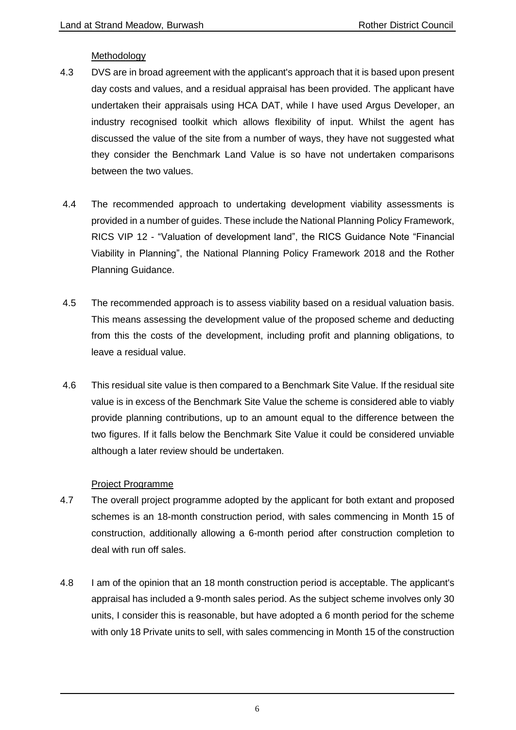#### Methodology

- 4.3 DVS are in broad agreement with the applicant's approach that it is based upon present day costs and values, and a residual appraisal has been provided. The applicant have undertaken their appraisals using HCA DAT, while I have used Argus Developer, an industry recognised toolkit which allows flexibility of input. Whilst the agent has discussed the value of the site from a number of ways, they have not suggested what they consider the Benchmark Land Value is so have not undertaken comparisons between the two values.
- 4.4 The recommended approach to undertaking development viability assessments is provided in a number of guides. These include the National Planning Policy Framework, RICS VIP 12 - "Valuation of development land", the RICS Guidance Note "Financial Viability in Planning", the National Planning Policy Framework 2018 and the Rother Planning Guidance.
- 4.5 The recommended approach is to assess viability based on a residual valuation basis. This means assessing the development value of the proposed scheme and deducting from this the costs of the development, including profit and planning obligations, to leave a residual value.
- 4.6 This residual site value is then compared to a Benchmark Site Value. If the residual site value is in excess of the Benchmark Site Value the scheme is considered able to viably provide planning contributions, up to an amount equal to the difference between the two figures. If it falls below the Benchmark Site Value it could be considered unviable although a later review should be undertaken.

## Project Programme

- 4.7 The overall project programme adopted by the applicant for both extant and proposed schemes is an 18-month construction period, with sales commencing in Month 15 of construction, additionally allowing a 6-month period after construction completion to deal with run off sales.
- 4.8 I am of the opinion that an 18 month construction period is acceptable. The applicant's appraisal has included a 9-month sales period. As the subject scheme involves only 30 units, I consider this is reasonable, but have adopted a 6 month period for the scheme with only 18 Private units to sell, with sales commencing in Month 15 of the construction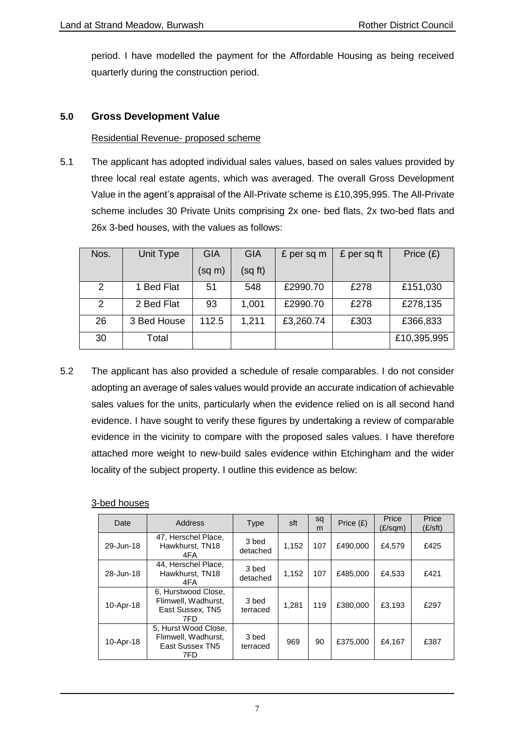period. I have modelled the payment for the Affordable Housing as being received quarterly during the construction period.

## <span id="page-6-0"></span>**5.0 Gross Development Value**

#### Residential Revenue- proposed scheme

5.1 The applicant has adopted individual sales values, based on sales values provided by three local real estate agents, which was averaged. The overall Gross Development Value in the agent's appraisal of the All-Private scheme is £10,395,995. The All-Private scheme includes 30 Private Units comprising 2x one- bed flats, 2x two-bed flats and 26x 3-bed houses, with the values as follows:

| Nos.           | Unit Type   | <b>GIA</b> | <b>GIA</b> | £ per sq m | £ per sq ft | Price $(E)$ |
|----------------|-------------|------------|------------|------------|-------------|-------------|
|                |             | (sq m)     | (sq ft)    |            |             |             |
| $\overline{2}$ | 1 Bed Flat  | 51         | 548        | £2990.70   | £278        | £151,030    |
| $\overline{2}$ | 2 Bed Flat  | 93         | 1,001      | £2990.70   | £278        | £278,135    |
| 26             | 3 Bed House | 112.5      | 1,211      | £3,260.74  | £303        | £366,833    |
| 30             | Total       |            |            |            |             | £10,395,995 |

5.2 The applicant has also provided a schedule of resale comparables. I do not consider adopting an average of sales values would provide an accurate indication of achievable sales values for the units, particularly when the evidence relied on is all second hand evidence. I have sought to verify these figures by undertaking a review of comparable evidence in the vicinity to compare with the proposed sales values. I have therefore attached more weight to new-build sales evidence within Etchingham and the wider locality of the subject property. I outline this evidence as below:

#### 3-bed houses

| Date      | Address                                                                | Type              | sft   | sq<br>m | Price $(E)$ | Price<br>$(E/\text{sqm})$ | Price<br>$(E\mathsf{/}st)$ |
|-----------|------------------------------------------------------------------------|-------------------|-------|---------|-------------|---------------------------|----------------------------|
| 29-Jun-18 | 47, Herschel Place,<br>Hawkhurst, TN18<br>4FA                          | 3 bed<br>detached | 1,152 | 107     | £490,000    | £4.579                    | £425                       |
| 28-Jun-18 | 44, Herschel Place,<br>Hawkhurst, TN18<br>4FA                          | 3 bed<br>detached | 1,152 | 107     | £485,000    | £4,533                    | £421                       |
| 10-Apr-18 | 6. Hurstwood Close.<br>Flimwell, Wadhurst.<br>East Sussex, TN5<br>7FD. | 3 bed<br>terraced | 1.281 | 119     | £380,000    | £3.193                    | £297                       |
| 10-Apr-18 | 5, Hurst Wood Close,<br>Flimwell. Wadhurst.<br>East Sussex TN5<br>7FD  | 3 bed<br>terraced | 969   | 90      | £375,000    | £4,167                    | £387                       |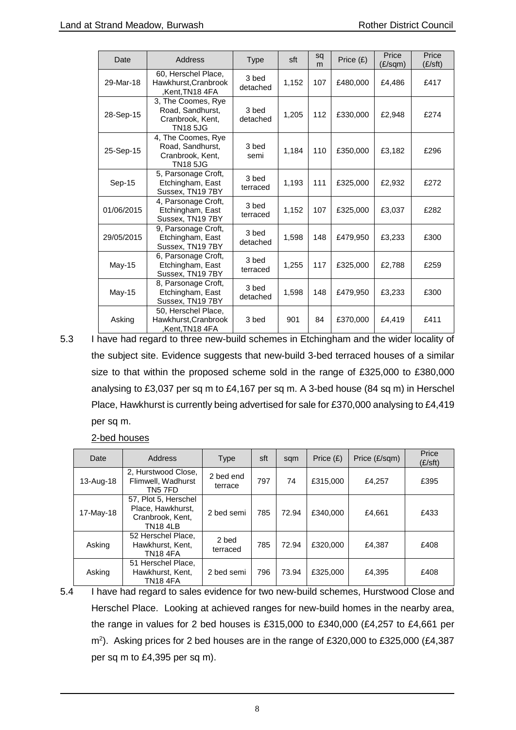| Date       | Address                                                                       | <b>Type</b>       | sft   | sq<br>m | Price $(E)$ | Price<br>$(E/\text{sqm})$ | Price<br>$(E\mathsf{/}st)$ |
|------------|-------------------------------------------------------------------------------|-------------------|-------|---------|-------------|---------------------------|----------------------------|
| 29-Mar-18  | 60, Herschel Place,<br>Hawkhurst, Cranbrook<br>Kent, TN18 4FA                 | 3 bed<br>detached | 1,152 | 107     | £480,000    | £4,486                    | £417                       |
| 28-Sep-15  | 3, The Coomes, Rye<br>Road, Sandhurst,<br>Cranbrook, Kent,<br><b>TN185JG</b>  | 3 bed<br>detached | 1,205 | 112     | £330,000    | £2,948                    | £274                       |
| 25-Sep-15  | 4, The Coomes, Rye<br>Road, Sandhurst,<br>Cranbrook, Kent,<br><b>TN18 5JG</b> | 3 bed<br>semi     | 1,184 | 110     | £350,000    | £3,182                    | £296                       |
| Sep-15     | 5, Parsonage Croft,<br>Etchingham, East<br>Sussex, TN19 7BY                   | 3 bed<br>terraced | 1,193 | 111     | £325,000    | £2,932                    | £272                       |
| 01/06/2015 | 4, Parsonage Croft,<br>Etchingham, East<br>Sussex, TN19 7BY                   | 3 bed<br>terraced | 1,152 | 107     | £325,000    | £3,037                    | £282                       |
| 29/05/2015 | 9, Parsonage Croft,<br>Etchingham, East<br>Sussex, TN19 7BY                   | 3 bed<br>detached | 1,598 | 148     | £479,950    | £3,233                    | £300                       |
| May-15     | 6, Parsonage Croft,<br>Etchingham, East<br>Sussex, TN19 7BY                   | 3 bed<br>terraced | 1,255 | 117     | £325,000    | £2,788                    | £259                       |
| May-15     | 8, Parsonage Croft,<br>Etchingham, East<br>Sussex, TN19 7BY                   | 3 bed<br>detached | 1,598 | 148     | £479,950    | £3,233                    | £300                       |
| Asking     | 50, Herschel Place,<br>Hawkhurst, Cranbrook<br>Kent,TN18 4FA.                 | 3 bed             | 901   | 84      | £370,000    | £4,419                    | £411                       |

5.3 I have had regard to three new-build schemes in Etchingham and the wider locality of the subject site. Evidence suggests that new-build 3-bed terraced houses of a similar size to that within the proposed scheme sold in the range of £325,000 to £380,000 analysing to £3,037 per sq m to £4,167 per sq m. A 3-bed house (84 sq m) in Herschel Place, Hawkhurst is currently being advertised for sale for £370,000 analysing to £4,419 per sq m.

2-bed houses

| Date      | Address                                                                          | <b>Type</b>          | sft | sqm   | Price $(E)$ | Price (£/sqm) | Price<br>$(E\mathsf{f}t)$ |
|-----------|----------------------------------------------------------------------------------|----------------------|-----|-------|-------------|---------------|---------------------------|
| 13-Aug-18 | 2, Hurstwood Close,<br>Flimwell, Wadhurst<br>TN5 7FD                             | 2 bed end<br>terrace | 797 | 74    | £315,000    | £4,257        | £395                      |
| 17-May-18 | 57, Plot 5, Herschel<br>Place, Hawkhurst,<br>Cranbrook, Kent,<br><b>TN18 4LB</b> | 2 bed semi           | 785 | 72.94 | £340,000    | £4,661        | £433                      |
| Asking    | 52 Herschel Place,<br>Hawkhurst, Kent,<br>TN18 4FA                               | 2 bed<br>terraced    | 785 | 72.94 | £320,000    | £4,387        | £408                      |
| Asking    | 51 Herschel Place,<br>Hawkhurst, Kent,<br>TN18 4FA                               | 2 bed semi           | 796 | 73.94 | £325,000    | £4,395        | £408                      |

5.4 I have had regard to sales evidence for two new-build schemes, Hurstwood Close and Herschel Place. Looking at achieved ranges for new-build homes in the nearby area, the range in values for 2 bed houses is £315,000 to £340,000 (£4,257 to £4,661 per m<sup>2</sup> ). Asking prices for 2 bed houses are in the range of £320,000 to £325,000 (£4,387 per sq m to £4,395 per sq m).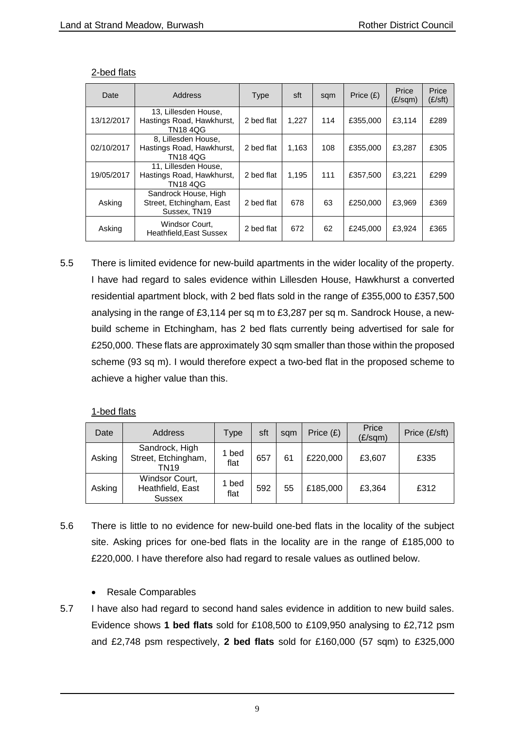| Date       | Address                                                             | <b>Type</b> | sft   | sqm | Price (£) | Price<br>$(E/\text{sqm})$ | Price<br>$(E\mathsf{/}S\mathsf{ft})$ |
|------------|---------------------------------------------------------------------|-------------|-------|-----|-----------|---------------------------|--------------------------------------|
| 13/12/2017 | 13, Lillesden House,<br>Hastings Road, Hawkhurst,<br><b>TN184QG</b> | 2 bed flat  | 1.227 | 114 | £355,000  | £3,114                    | £289                                 |
| 02/10/2017 | 8. Lillesden House.<br>Hastings Road, Hawkhurst,<br><b>TN184QG</b>  | 2 bed flat  | 1.163 | 108 | £355,000  | £3,287                    | £305                                 |
| 19/05/2017 | 11. Lillesden House.<br>Hastings Road, Hawkhurst,<br><b>TN184QG</b> | 2 bed flat  | 1.195 | 111 | £357,500  | £3,221                    | £299                                 |
| Asking     | Sandrock House, High<br>Street, Etchingham, East<br>Sussex, TN19    | 2 bed flat  | 678   | 63  | £250,000  | £3,969                    | £369                                 |
| Asking     | Windsor Court,<br><b>Heathfield, East Sussex</b>                    | 2 bed flat  | 672   | 62  | £245,000  | £3.924                    | £365                                 |

#### 2-bed flats

5.5 There is limited evidence for new-build apartments in the wider locality of the property. I have had regard to sales evidence within Lillesden House, Hawkhurst a converted residential apartment block, with 2 bed flats sold in the range of £355,000 to £357,500 analysing in the range of £3,114 per sq m to £3,287 per sq m. Sandrock House, a newbuild scheme in Etchingham, has 2 bed flats currently being advertised for sale for £250,000. These flats are approximately 30 sqm smaller than those within the proposed scheme (93 sq m). I would therefore expect a two-bed flat in the proposed scheme to achieve a higher value than this.

## 1-bed flats

| Date   | Address                                             | Type          | sft | sam | Price $(E)$ | Price<br>$(E/\text{sqm})$ | Price (£/sft) |
|--------|-----------------------------------------------------|---------------|-----|-----|-------------|---------------------------|---------------|
| Asking | Sandrock, High<br>Street, Etchingham,<br>TN19       | 1 bed<br>flat | 657 | 61  | £220,000    | £3,607                    | £335          |
| Asking | Windsor Court,<br>Heathfield, East<br><b>Sussex</b> | 1 bed<br>flat | 592 | 55  | £185,000    | £3,364                    | £312          |

- 5.6 There is little to no evidence for new-build one-bed flats in the locality of the subject site. Asking prices for one-bed flats in the locality are in the range of £185,000 to £220,000. I have therefore also had regard to resale values as outlined below.
	- Resale Comparables
- 5.7 I have also had regard to second hand sales evidence in addition to new build sales. Evidence shows **1 bed flats** sold for £108,500 to £109,950 analysing to £2,712 psm and £2,748 psm respectively, **2 bed flats** sold for £160,000 (57 sqm) to £325,000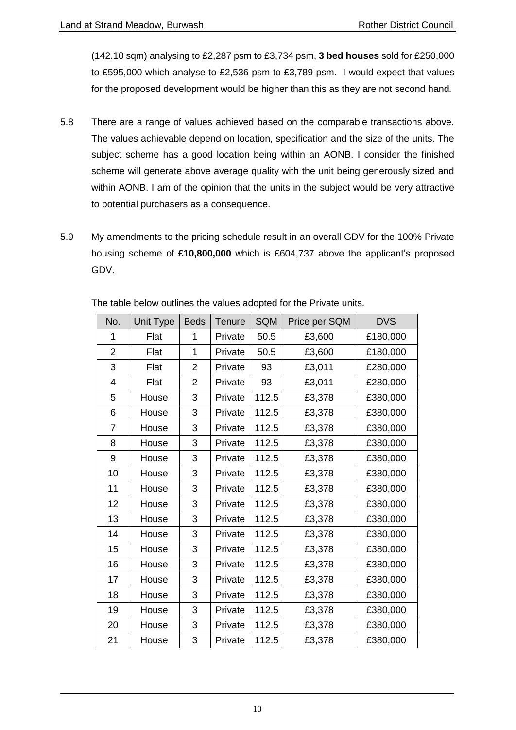(142.10 sqm) analysing to £2,287 psm to £3,734 psm, **3 bed houses** sold for £250,000 to £595,000 which analyse to £2,536 psm to £3,789 psm. I would expect that values for the proposed development would be higher than this as they are not second hand*.*

- 5.8 There are a range of values achieved based on the comparable transactions above. The values achievable depend on location, specification and the size of the units. The subject scheme has a good location being within an AONB. I consider the finished scheme will generate above average quality with the unit being generously sized and within AONB. I am of the opinion that the units in the subject would be very attractive to potential purchasers as a consequence.
- 5.9 My amendments to the pricing schedule result in an overall GDV for the 100% Private housing scheme of **£10,800,000** which is £604,737 above the applicant's proposed GDV.

| No.            | <b>Unit Type</b> | <b>Beds</b>    | Tenure  | <b>SQM</b> | Price per SQM | <b>DVS</b> |
|----------------|------------------|----------------|---------|------------|---------------|------------|
| 1              | Flat             | 1              | Private | 50.5       | £3,600        | £180,000   |
| $\overline{2}$ | Flat             | 1              | Private | 50.5       | £3,600        | £180,000   |
| 3              | Flat             | $\overline{2}$ | Private | 93         | £3,011        | £280,000   |
| 4              | Flat             | $\overline{2}$ | Private | 93         | £3,011        | £280,000   |
| 5              | House            | 3              | Private | 112.5      | £3,378        | £380,000   |
| 6              | House            | 3              | Private | 112.5      | £3,378        | £380,000   |
| 7              | House            | 3              | Private | 112.5      | £3,378        | £380,000   |
| 8              | House            | 3              | Private | 112.5      | £3,378        | £380,000   |
| 9              | House            | 3              | Private | 112.5      | £3,378        | £380,000   |
| 10             | House            | 3              | Private | 112.5      | £3,378        | £380,000   |
| 11             | House            | 3              | Private | 112.5      | £3,378        | £380,000   |
| 12             | House            | 3              | Private | 112.5      | £3,378        | £380,000   |
| 13             | House            | 3              | Private | 112.5      | £3,378        | £380,000   |
| 14             | House            | 3              | Private | 112.5      | £3,378        | £380,000   |
| 15             | House            | 3              | Private | 112.5      | £3,378        | £380,000   |
| 16             | House            | 3              | Private | 112.5      | £3,378        | £380,000   |
| 17             | House            | 3              | Private | 112.5      | £3,378        | £380,000   |
| 18             | House            | 3              | Private | 112.5      | £3,378        | £380,000   |
| 19             | House            | 3              | Private | 112.5      | £3,378        | £380,000   |
| 20             | House            | 3              | Private | 112.5      | £3,378        | £380,000   |
| 21             | House            | 3              | Private | 112.5      | £3,378        | £380,000   |

The table below outlines the values adopted for the Private units.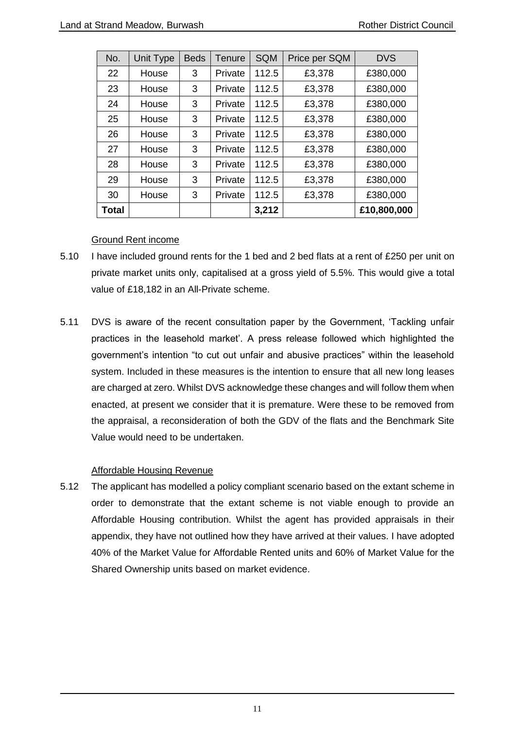| No.   | Unit Type | <b>Beds</b> | Tenure  | <b>SQM</b> | Price per SQM | <b>DVS</b>  |
|-------|-----------|-------------|---------|------------|---------------|-------------|
| 22    | House     | 3           | Private | 112.5      | £3,378        | £380,000    |
| 23    | House     | 3           | Private | 112.5      | £3,378        | £380,000    |
| 24    | House     | 3           | Private | 112.5      | £3,378        | £380,000    |
| 25    | House     | 3           | Private | 112.5      | £3,378        | £380,000    |
| 26    | House     | 3           | Private | 112.5      | £3,378        | £380,000    |
| 27    | House     | 3           | Private | 112.5      | £3,378        | £380,000    |
| 28    | House     | 3           | Private | 112.5      | £3,378        | £380,000    |
| 29    | House     | 3           | Private | 112.5      | £3,378        | £380,000    |
| 30    | House     | 3           | Private | 112.5      | £3,378        | £380,000    |
| Total |           |             |         | 3,212      |               | £10,800,000 |

## Ground Rent income

- 5.10 I have included ground rents for the 1 bed and 2 bed flats at a rent of £250 per unit on private market units only, capitalised at a gross yield of 5.5%. This would give a total value of £18,182 in an All-Private scheme.
- 5.11 DVS is aware of the recent consultation paper by the Government, 'Tackling unfair practices in the leasehold market'. A press release followed which highlighted the government's intention "to cut out unfair and abusive practices" within the leasehold system. Included in these measures is the intention to ensure that all new long leases are charged at zero. Whilst DVS acknowledge these changes and will follow them when enacted, at present we consider that it is premature. Were these to be removed from the appraisal, a reconsideration of both the GDV of the flats and the Benchmark Site Value would need to be undertaken.

## Affordable Housing Revenue

5.12 The applicant has modelled a policy compliant scenario based on the extant scheme in order to demonstrate that the extant scheme is not viable enough to provide an Affordable Housing contribution. Whilst the agent has provided appraisals in their appendix, they have not outlined how they have arrived at their values. I have adopted 40% of the Market Value for Affordable Rented units and 60% of Market Value for the Shared Ownership units based on market evidence.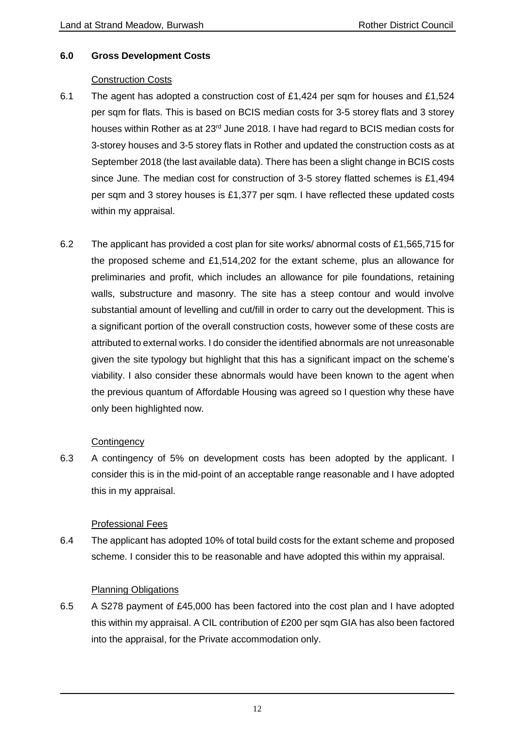## <span id="page-11-0"></span>**6.0 Gross Development Costs**

#### Construction Costs

- 6.1 The agent has adopted a construction cost of £1,424 per sqm for houses and £1,524 per sqm for flats. This is based on BCIS median costs for 3-5 storey flats and 3 storey houses within Rother as at 23<sup>rd</sup> June 2018. I have had regard to BCIS median costs for 3-storey houses and 3-5 storey flats in Rother and updated the construction costs as at September 2018 (the last available data). There has been a slight change in BCIS costs since June. The median cost for construction of 3-5 storey flatted schemes is £1,494 per sqm and 3 storey houses is £1,377 per sqm. I have reflected these updated costs within my appraisal.
- 6.2 The applicant has provided a cost plan for site works/ abnormal costs of £1,565,715 for the proposed scheme and £1,514,202 for the extant scheme, plus an allowance for preliminaries and profit, which includes an allowance for pile foundations, retaining walls, substructure and masonry. The site has a steep contour and would involve substantial amount of levelling and cut/fill in order to carry out the development. This is a significant portion of the overall construction costs, however some of these costs are attributed to external works. I do consider the identified abnormals are not unreasonable given the site typology but highlight that this has a significant impact on the scheme's viability. I also consider these abnormals would have been known to the agent when the previous quantum of Affordable Housing was agreed so I question why these have only been highlighted now.

## **Contingency**

6.3 A contingency of 5% on development costs has been adopted by the applicant. I consider this is in the mid-point of an acceptable range reasonable and I have adopted this in my appraisal.

## Professional Fees

6.4 The applicant has adopted 10% of total build costs for the extant scheme and proposed scheme. I consider this to be reasonable and have adopted this within my appraisal.

## Planning Obligations

6.5 A S278 payment of £45,000 has been factored into the cost plan and I have adopted this within my appraisal. A CIL contribution of £200 per sqm GIA has also been factored into the appraisal, for the Private accommodation only.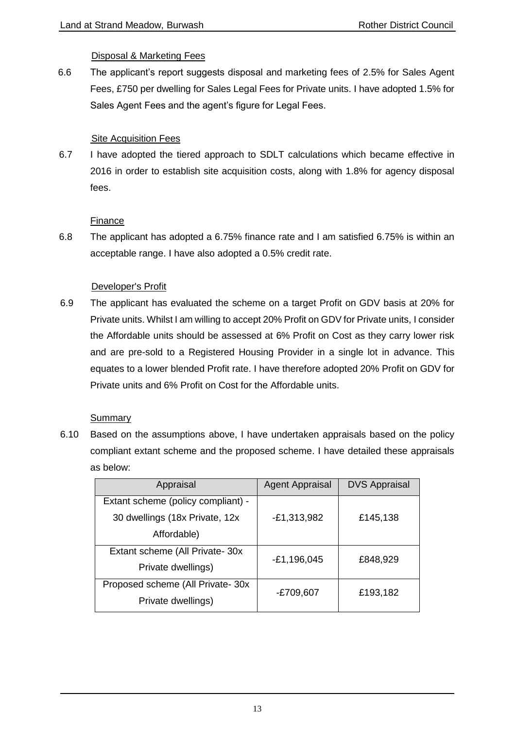## Disposal & Marketing Fees

6.6 The applicant's report suggests disposal and marketing fees of 2.5% for Sales Agent Fees, £750 per dwelling for Sales Legal Fees for Private units. I have adopted 1.5% for Sales Agent Fees and the agent's figure for Legal Fees.

## Site Acquisition Fees

6.7 I have adopted the tiered approach to SDLT calculations which became effective in 2016 in order to establish site acquisition costs, along with 1.8% for agency disposal fees.

## Finance

6.8 The applicant has adopted a 6.75% finance rate and I am satisfied 6.75% is within an acceptable range. I have also adopted a 0.5% credit rate.

## Developer's Profit

6.9 The applicant has evaluated the scheme on a target Profit on GDV basis at 20% for Private units. Whilst I am willing to accept 20% Profit on GDV for Private units, I consider the Affordable units should be assessed at 6% Profit on Cost as they carry lower risk and are pre-sold to a Registered Housing Provider in a single lot in advance. This equates to a lower blended Profit rate. I have therefore adopted 20% Profit on GDV for Private units and 6% Profit on Cost for the Affordable units.

## Summary

6.10 Based on the assumptions above, I have undertaken appraisals based on the policy compliant extant scheme and the proposed scheme. I have detailed these appraisals as below:

| Appraisal                          | <b>Agent Appraisal</b> | <b>DVS Appraisal</b> |
|------------------------------------|------------------------|----------------------|
| Extant scheme (policy compliant) - |                        |                      |
| 30 dwellings (18x Private, 12x)    | $-E1,313,982$          | £145,138             |
| Affordable)                        |                        |                      |
| Extant scheme (All Private-30x)    | $-E1, 196, 045$        | £848,929             |
| Private dwellings)                 |                        |                      |
| Proposed scheme (All Private-30x)  | -£709,607              | £193,182             |
| Private dwellings)                 |                        |                      |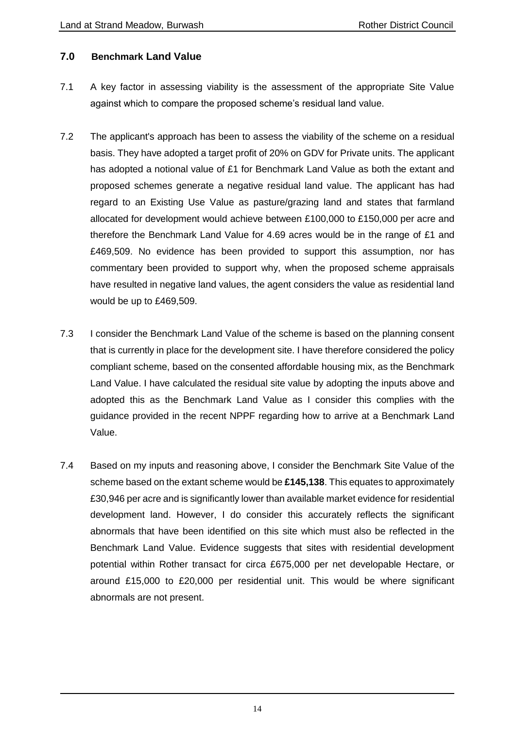## <span id="page-13-0"></span>**7.0 Benchmark Land Value**

- 7.1 A key factor in assessing viability is the assessment of the appropriate Site Value against which to compare the proposed scheme's residual land value.
- 7.2 The applicant's approach has been to assess the viability of the scheme on a residual basis. They have adopted a target profit of 20% on GDV for Private units. The applicant has adopted a notional value of £1 for Benchmark Land Value as both the extant and proposed schemes generate a negative residual land value. The applicant has had regard to an Existing Use Value as pasture/grazing land and states that farmland allocated for development would achieve between £100,000 to £150,000 per acre and therefore the Benchmark Land Value for 4.69 acres would be in the range of £1 and £469,509. No evidence has been provided to support this assumption, nor has commentary been provided to support why, when the proposed scheme appraisals have resulted in negative land values, the agent considers the value as residential land would be up to £469,509.
- 7.3 I consider the Benchmark Land Value of the scheme is based on the planning consent that is currently in place for the development site. I have therefore considered the policy compliant scheme, based on the consented affordable housing mix, as the Benchmark Land Value. I have calculated the residual site value by adopting the inputs above and adopted this as the Benchmark Land Value as I consider this complies with the guidance provided in the recent NPPF regarding how to arrive at a Benchmark Land Value.
- 7.4 Based on my inputs and reasoning above, I consider the Benchmark Site Value of the scheme based on the extant scheme would be **£145,138**. This equates to approximately £30,946 per acre and is significantly lower than available market evidence for residential development land. However, I do consider this accurately reflects the significant abnormals that have been identified on this site which must also be reflected in the Benchmark Land Value. Evidence suggests that sites with residential development potential within Rother transact for circa £675,000 per net developable Hectare, or around £15,000 to £20,000 per residential unit. This would be where significant abnormals are not present.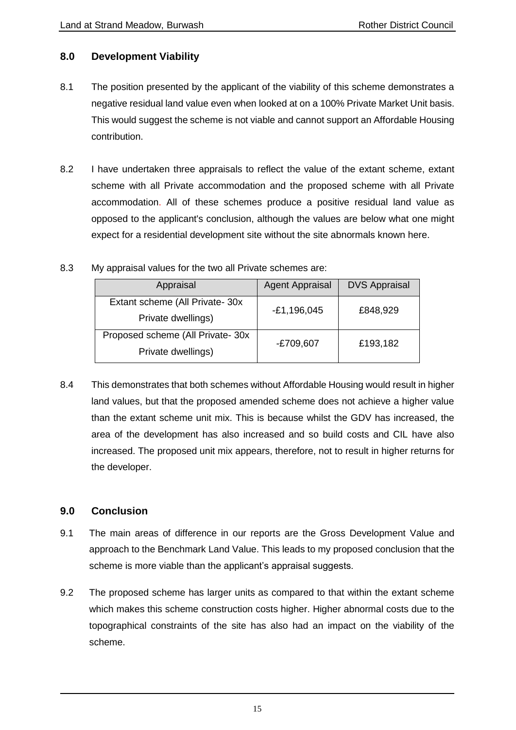## <span id="page-14-0"></span>**8.0 Development Viability**

- 8.1 The position presented by the applicant of the viability of this scheme demonstrates a negative residual land value even when looked at on a 100% Private Market Unit basis. This would suggest the scheme is not viable and cannot support an Affordable Housing contribution.
- 8.2 I have undertaken three appraisals to reflect the value of the extant scheme, extant scheme with all Private accommodation and the proposed scheme with all Private accommodation. All of these schemes produce a positive residual land value as opposed to the applicant's conclusion, although the values are below what one might expect for a residential development site without the site abnormals known here.
- 8.3 My appraisal values for the two all Private schemes are:

| Appraisal                          | <b>Agent Appraisal</b> | <b>DVS Appraisal</b> |  |
|------------------------------------|------------------------|----------------------|--|
| Extant scheme (All Private-30x     | $-E1,196,045$          | £848,929             |  |
| Private dwellings)                 |                        |                      |  |
| Proposed scheme (All Private- 30x) | -£709,607              | £193,182             |  |
| Private dwellings)                 |                        |                      |  |

8.4 This demonstrates that both schemes without Affordable Housing would result in higher land values, but that the proposed amended scheme does not achieve a higher value than the extant scheme unit mix. This is because whilst the GDV has increased, the area of the development has also increased and so build costs and CIL have also increased. The proposed unit mix appears, therefore, not to result in higher returns for the developer.

## <span id="page-14-1"></span>**9.0 Conclusion**

- 9.1 The main areas of difference in our reports are the Gross Development Value and approach to the Benchmark Land Value. This leads to my proposed conclusion that the scheme is more viable than the applicant's appraisal suggests.
- 9.2 The proposed scheme has larger units as compared to that within the extant scheme which makes this scheme construction costs higher. Higher abnormal costs due to the topographical constraints of the site has also had an impact on the viability of the scheme.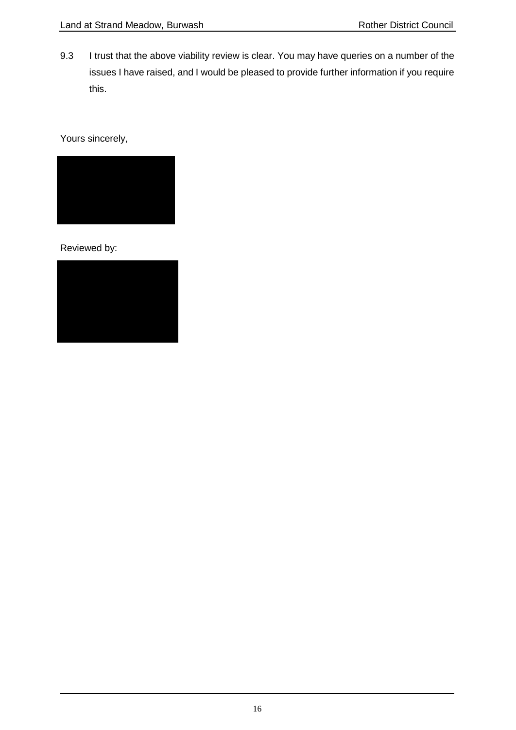9.3 I trust that the above viability review is clear. You may have queries on a number of the issues I have raised, and I would be pleased to provide further information if you require this.

Yours sincerely,



Reviewed by:

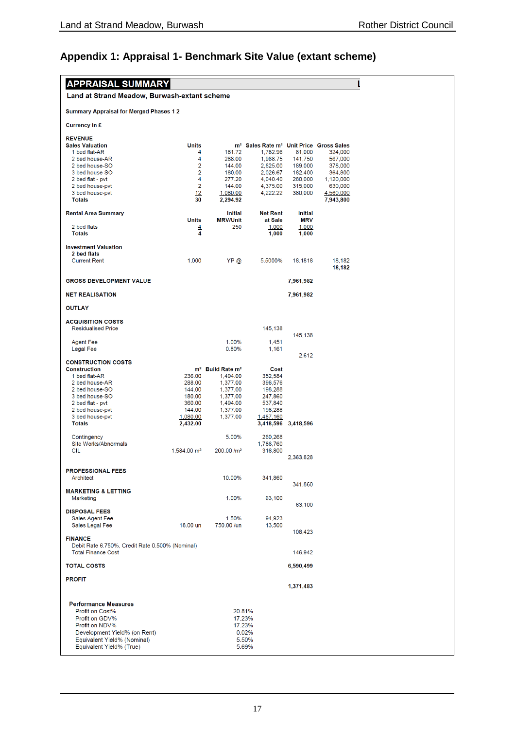# <span id="page-16-0"></span>**Appendix 1: Appraisal 1- Benchmark Site Value (extant scheme)**

| Land at Strand Meadow, Burwash-extant scheme<br><b>Summary Appraisal for Merged Phases 12</b><br><b>Currency in £</b><br><b>REVENUE</b><br><b>Sales Valuation</b><br>Units<br>m <sup>2</sup> Sales Rate m <sup>2</sup> Unit Price Gross Sales<br>1 bed flat-AR<br>4<br>181.72<br>1,782.96<br>81,000<br>324,000<br>4<br>2 bed house-AR<br>288.00<br>1,968.75<br>141,750<br>567,000<br>$\overline{2}$<br>2,625.00<br>189,000<br>378,000<br>2 bed house-SO<br>144.00<br>$\overline{2}$<br>3 bed house-SO<br>2,026.67<br>182,400<br>180.00<br>364,800<br>$\overline{4}$<br>2 bed flat - pvt<br>277.20<br>4,040.40<br>280,000<br>1,120,000<br>$\overline{2}$<br>2 bed house-pvt<br>144.00<br>4,375.00<br>315,000<br>630,000<br>12<br>4,222.22<br>3 bed house-pvt<br>1,080.00<br>380,000<br>4,560,000<br>30<br><b>Totals</b><br>2,294.92<br>7,943,800<br><b>Initial</b><br><b>Net Rent</b><br><b>Initial</b><br><b>Rental Area Summary</b><br><b>Units</b><br><b>MRV/Unit</b><br>at Sale<br><b>MRV</b><br>2 bed flats<br>250<br>$\frac{4}{4}$<br>1,000<br>1,000<br><b>Totals</b><br>1,000<br>1,000<br><b>Investment Valuation</b><br>2 bed flats<br><b>Current Rent</b><br>1,000<br>YP @<br>18,182<br>5.5000%<br>18.1818<br>18,182<br><b>GROSS DEVELOPMENT VALUE</b><br>7,961,982<br><b>NET REALISATION</b><br>7,961,982<br><b>OUTLAY</b><br><b>ACQUISITION COSTS</b><br><b>Residualised Price</b><br>145,138<br>145,138<br>1.00%<br><b>Agent Fee</b><br>1,451<br>0.80%<br><b>Legal Fee</b><br>1,161<br>2,612<br><b>CONSTRUCTION COSTS</b><br><b>Construction</b><br>m <sup>2</sup> Build Rate m <sup>2</sup><br>Cost<br>1 bed flat-AR<br>236.00<br>1,494.00<br>352,584<br>2 bed house-AR<br>288.00<br>1,377.00<br>396,576<br>2 bed house-SO<br>1,377.00<br>198,288<br>144.00<br>3 bed house-SO<br>180.00<br>1,377.00<br>247,860<br>2 bed flat - pvt<br>360.00<br>1,494.00<br>537,840<br>2 bed house-pvt<br>144.00<br>1,377.00<br>198,288<br>3 bed house-pvt<br>1,377.00<br>1,487,160<br>1,080.00<br><b>Totals</b><br>2,432.00<br>3,418,596<br>3,418,596<br>5.00%<br>Contingency<br>260,268<br>Site Works/Abnormals<br>1,786,760<br><b>CIL</b><br>1,584.00 m <sup>2</sup><br>200.00/m <sup>2</sup><br>316,800<br>2,363,828<br><b>PROFESSIONAL FEES</b><br>Architect<br>10.00%<br>341,860<br>341,860<br><b>MARKETING &amp; LETTING</b><br>1.00%<br>63,100<br>Marketing<br>63,100<br><b>DISPOSAL FEES</b><br>Sales Agent Fee<br>1.50%<br>94,923<br>Sales Legal Fee<br>18.00 un<br>750.00 /un<br>13,500<br>108,423<br><b>FINANCE</b><br>Debit Rate 6.750%, Credit Rate 0.500% (Nominal)<br><b>Total Finance Cost</b><br>146,942<br><b>TOTAL COSTS</b><br>6,590,499<br><b>PROFIT</b><br>1,371,483<br><b>Performance Measures</b><br>Profit on Cost%<br>20.81%<br>Profit on GDV%<br>17.23%<br>Profit on NDV%<br>17.23%<br>Development Yield% (on Rent)<br>0.02%<br>Equivalent Yield% (Nominal)<br>5.50%<br>Equivalent Yield% (True)<br>5.69% | <b>APPRAISAL SUMMARY</b> |  |  |  |
|-----------------------------------------------------------------------------------------------------------------------------------------------------------------------------------------------------------------------------------------------------------------------------------------------------------------------------------------------------------------------------------------------------------------------------------------------------------------------------------------------------------------------------------------------------------------------------------------------------------------------------------------------------------------------------------------------------------------------------------------------------------------------------------------------------------------------------------------------------------------------------------------------------------------------------------------------------------------------------------------------------------------------------------------------------------------------------------------------------------------------------------------------------------------------------------------------------------------------------------------------------------------------------------------------------------------------------------------------------------------------------------------------------------------------------------------------------------------------------------------------------------------------------------------------------------------------------------------------------------------------------------------------------------------------------------------------------------------------------------------------------------------------------------------------------------------------------------------------------------------------------------------------------------------------------------------------------------------------------------------------------------------------------------------------------------------------------------------------------------------------------------------------------------------------------------------------------------------------------------------------------------------------------------------------------------------------------------------------------------------------------------------------------------------------------------------------------------------------------------------------------------------------------------------------------------------------------------------------------------------------------------------------------------------------------------------------------------------------------------------------------------------------------------------------------------------------------------------------------------------------------------------------------------------------------------|--------------------------|--|--|--|
|                                                                                                                                                                                                                                                                                                                                                                                                                                                                                                                                                                                                                                                                                                                                                                                                                                                                                                                                                                                                                                                                                                                                                                                                                                                                                                                                                                                                                                                                                                                                                                                                                                                                                                                                                                                                                                                                                                                                                                                                                                                                                                                                                                                                                                                                                                                                                                                                                                                                                                                                                                                                                                                                                                                                                                                                                                                                                                                                   |                          |  |  |  |
|                                                                                                                                                                                                                                                                                                                                                                                                                                                                                                                                                                                                                                                                                                                                                                                                                                                                                                                                                                                                                                                                                                                                                                                                                                                                                                                                                                                                                                                                                                                                                                                                                                                                                                                                                                                                                                                                                                                                                                                                                                                                                                                                                                                                                                                                                                                                                                                                                                                                                                                                                                                                                                                                                                                                                                                                                                                                                                                                   |                          |  |  |  |
|                                                                                                                                                                                                                                                                                                                                                                                                                                                                                                                                                                                                                                                                                                                                                                                                                                                                                                                                                                                                                                                                                                                                                                                                                                                                                                                                                                                                                                                                                                                                                                                                                                                                                                                                                                                                                                                                                                                                                                                                                                                                                                                                                                                                                                                                                                                                                                                                                                                                                                                                                                                                                                                                                                                                                                                                                                                                                                                                   |                          |  |  |  |
|                                                                                                                                                                                                                                                                                                                                                                                                                                                                                                                                                                                                                                                                                                                                                                                                                                                                                                                                                                                                                                                                                                                                                                                                                                                                                                                                                                                                                                                                                                                                                                                                                                                                                                                                                                                                                                                                                                                                                                                                                                                                                                                                                                                                                                                                                                                                                                                                                                                                                                                                                                                                                                                                                                                                                                                                                                                                                                                                   |                          |  |  |  |
|                                                                                                                                                                                                                                                                                                                                                                                                                                                                                                                                                                                                                                                                                                                                                                                                                                                                                                                                                                                                                                                                                                                                                                                                                                                                                                                                                                                                                                                                                                                                                                                                                                                                                                                                                                                                                                                                                                                                                                                                                                                                                                                                                                                                                                                                                                                                                                                                                                                                                                                                                                                                                                                                                                                                                                                                                                                                                                                                   |                          |  |  |  |
|                                                                                                                                                                                                                                                                                                                                                                                                                                                                                                                                                                                                                                                                                                                                                                                                                                                                                                                                                                                                                                                                                                                                                                                                                                                                                                                                                                                                                                                                                                                                                                                                                                                                                                                                                                                                                                                                                                                                                                                                                                                                                                                                                                                                                                                                                                                                                                                                                                                                                                                                                                                                                                                                                                                                                                                                                                                                                                                                   |                          |  |  |  |
|                                                                                                                                                                                                                                                                                                                                                                                                                                                                                                                                                                                                                                                                                                                                                                                                                                                                                                                                                                                                                                                                                                                                                                                                                                                                                                                                                                                                                                                                                                                                                                                                                                                                                                                                                                                                                                                                                                                                                                                                                                                                                                                                                                                                                                                                                                                                                                                                                                                                                                                                                                                                                                                                                                                                                                                                                                                                                                                                   |                          |  |  |  |
|                                                                                                                                                                                                                                                                                                                                                                                                                                                                                                                                                                                                                                                                                                                                                                                                                                                                                                                                                                                                                                                                                                                                                                                                                                                                                                                                                                                                                                                                                                                                                                                                                                                                                                                                                                                                                                                                                                                                                                                                                                                                                                                                                                                                                                                                                                                                                                                                                                                                                                                                                                                                                                                                                                                                                                                                                                                                                                                                   |                          |  |  |  |
|                                                                                                                                                                                                                                                                                                                                                                                                                                                                                                                                                                                                                                                                                                                                                                                                                                                                                                                                                                                                                                                                                                                                                                                                                                                                                                                                                                                                                                                                                                                                                                                                                                                                                                                                                                                                                                                                                                                                                                                                                                                                                                                                                                                                                                                                                                                                                                                                                                                                                                                                                                                                                                                                                                                                                                                                                                                                                                                                   |                          |  |  |  |
|                                                                                                                                                                                                                                                                                                                                                                                                                                                                                                                                                                                                                                                                                                                                                                                                                                                                                                                                                                                                                                                                                                                                                                                                                                                                                                                                                                                                                                                                                                                                                                                                                                                                                                                                                                                                                                                                                                                                                                                                                                                                                                                                                                                                                                                                                                                                                                                                                                                                                                                                                                                                                                                                                                                                                                                                                                                                                                                                   |                          |  |  |  |
|                                                                                                                                                                                                                                                                                                                                                                                                                                                                                                                                                                                                                                                                                                                                                                                                                                                                                                                                                                                                                                                                                                                                                                                                                                                                                                                                                                                                                                                                                                                                                                                                                                                                                                                                                                                                                                                                                                                                                                                                                                                                                                                                                                                                                                                                                                                                                                                                                                                                                                                                                                                                                                                                                                                                                                                                                                                                                                                                   |                          |  |  |  |
|                                                                                                                                                                                                                                                                                                                                                                                                                                                                                                                                                                                                                                                                                                                                                                                                                                                                                                                                                                                                                                                                                                                                                                                                                                                                                                                                                                                                                                                                                                                                                                                                                                                                                                                                                                                                                                                                                                                                                                                                                                                                                                                                                                                                                                                                                                                                                                                                                                                                                                                                                                                                                                                                                                                                                                                                                                                                                                                                   |                          |  |  |  |
|                                                                                                                                                                                                                                                                                                                                                                                                                                                                                                                                                                                                                                                                                                                                                                                                                                                                                                                                                                                                                                                                                                                                                                                                                                                                                                                                                                                                                                                                                                                                                                                                                                                                                                                                                                                                                                                                                                                                                                                                                                                                                                                                                                                                                                                                                                                                                                                                                                                                                                                                                                                                                                                                                                                                                                                                                                                                                                                                   |                          |  |  |  |
|                                                                                                                                                                                                                                                                                                                                                                                                                                                                                                                                                                                                                                                                                                                                                                                                                                                                                                                                                                                                                                                                                                                                                                                                                                                                                                                                                                                                                                                                                                                                                                                                                                                                                                                                                                                                                                                                                                                                                                                                                                                                                                                                                                                                                                                                                                                                                                                                                                                                                                                                                                                                                                                                                                                                                                                                                                                                                                                                   |                          |  |  |  |
|                                                                                                                                                                                                                                                                                                                                                                                                                                                                                                                                                                                                                                                                                                                                                                                                                                                                                                                                                                                                                                                                                                                                                                                                                                                                                                                                                                                                                                                                                                                                                                                                                                                                                                                                                                                                                                                                                                                                                                                                                                                                                                                                                                                                                                                                                                                                                                                                                                                                                                                                                                                                                                                                                                                                                                                                                                                                                                                                   |                          |  |  |  |
|                                                                                                                                                                                                                                                                                                                                                                                                                                                                                                                                                                                                                                                                                                                                                                                                                                                                                                                                                                                                                                                                                                                                                                                                                                                                                                                                                                                                                                                                                                                                                                                                                                                                                                                                                                                                                                                                                                                                                                                                                                                                                                                                                                                                                                                                                                                                                                                                                                                                                                                                                                                                                                                                                                                                                                                                                                                                                                                                   |                          |  |  |  |
|                                                                                                                                                                                                                                                                                                                                                                                                                                                                                                                                                                                                                                                                                                                                                                                                                                                                                                                                                                                                                                                                                                                                                                                                                                                                                                                                                                                                                                                                                                                                                                                                                                                                                                                                                                                                                                                                                                                                                                                                                                                                                                                                                                                                                                                                                                                                                                                                                                                                                                                                                                                                                                                                                                                                                                                                                                                                                                                                   |                          |  |  |  |
|                                                                                                                                                                                                                                                                                                                                                                                                                                                                                                                                                                                                                                                                                                                                                                                                                                                                                                                                                                                                                                                                                                                                                                                                                                                                                                                                                                                                                                                                                                                                                                                                                                                                                                                                                                                                                                                                                                                                                                                                                                                                                                                                                                                                                                                                                                                                                                                                                                                                                                                                                                                                                                                                                                                                                                                                                                                                                                                                   |                          |  |  |  |
|                                                                                                                                                                                                                                                                                                                                                                                                                                                                                                                                                                                                                                                                                                                                                                                                                                                                                                                                                                                                                                                                                                                                                                                                                                                                                                                                                                                                                                                                                                                                                                                                                                                                                                                                                                                                                                                                                                                                                                                                                                                                                                                                                                                                                                                                                                                                                                                                                                                                                                                                                                                                                                                                                                                                                                                                                                                                                                                                   |                          |  |  |  |
|                                                                                                                                                                                                                                                                                                                                                                                                                                                                                                                                                                                                                                                                                                                                                                                                                                                                                                                                                                                                                                                                                                                                                                                                                                                                                                                                                                                                                                                                                                                                                                                                                                                                                                                                                                                                                                                                                                                                                                                                                                                                                                                                                                                                                                                                                                                                                                                                                                                                                                                                                                                                                                                                                                                                                                                                                                                                                                                                   |                          |  |  |  |
|                                                                                                                                                                                                                                                                                                                                                                                                                                                                                                                                                                                                                                                                                                                                                                                                                                                                                                                                                                                                                                                                                                                                                                                                                                                                                                                                                                                                                                                                                                                                                                                                                                                                                                                                                                                                                                                                                                                                                                                                                                                                                                                                                                                                                                                                                                                                                                                                                                                                                                                                                                                                                                                                                                                                                                                                                                                                                                                                   |                          |  |  |  |
|                                                                                                                                                                                                                                                                                                                                                                                                                                                                                                                                                                                                                                                                                                                                                                                                                                                                                                                                                                                                                                                                                                                                                                                                                                                                                                                                                                                                                                                                                                                                                                                                                                                                                                                                                                                                                                                                                                                                                                                                                                                                                                                                                                                                                                                                                                                                                                                                                                                                                                                                                                                                                                                                                                                                                                                                                                                                                                                                   |                          |  |  |  |
|                                                                                                                                                                                                                                                                                                                                                                                                                                                                                                                                                                                                                                                                                                                                                                                                                                                                                                                                                                                                                                                                                                                                                                                                                                                                                                                                                                                                                                                                                                                                                                                                                                                                                                                                                                                                                                                                                                                                                                                                                                                                                                                                                                                                                                                                                                                                                                                                                                                                                                                                                                                                                                                                                                                                                                                                                                                                                                                                   |                          |  |  |  |
|                                                                                                                                                                                                                                                                                                                                                                                                                                                                                                                                                                                                                                                                                                                                                                                                                                                                                                                                                                                                                                                                                                                                                                                                                                                                                                                                                                                                                                                                                                                                                                                                                                                                                                                                                                                                                                                                                                                                                                                                                                                                                                                                                                                                                                                                                                                                                                                                                                                                                                                                                                                                                                                                                                                                                                                                                                                                                                                                   |                          |  |  |  |
|                                                                                                                                                                                                                                                                                                                                                                                                                                                                                                                                                                                                                                                                                                                                                                                                                                                                                                                                                                                                                                                                                                                                                                                                                                                                                                                                                                                                                                                                                                                                                                                                                                                                                                                                                                                                                                                                                                                                                                                                                                                                                                                                                                                                                                                                                                                                                                                                                                                                                                                                                                                                                                                                                                                                                                                                                                                                                                                                   |                          |  |  |  |
|                                                                                                                                                                                                                                                                                                                                                                                                                                                                                                                                                                                                                                                                                                                                                                                                                                                                                                                                                                                                                                                                                                                                                                                                                                                                                                                                                                                                                                                                                                                                                                                                                                                                                                                                                                                                                                                                                                                                                                                                                                                                                                                                                                                                                                                                                                                                                                                                                                                                                                                                                                                                                                                                                                                                                                                                                                                                                                                                   |                          |  |  |  |
|                                                                                                                                                                                                                                                                                                                                                                                                                                                                                                                                                                                                                                                                                                                                                                                                                                                                                                                                                                                                                                                                                                                                                                                                                                                                                                                                                                                                                                                                                                                                                                                                                                                                                                                                                                                                                                                                                                                                                                                                                                                                                                                                                                                                                                                                                                                                                                                                                                                                                                                                                                                                                                                                                                                                                                                                                                                                                                                                   |                          |  |  |  |
|                                                                                                                                                                                                                                                                                                                                                                                                                                                                                                                                                                                                                                                                                                                                                                                                                                                                                                                                                                                                                                                                                                                                                                                                                                                                                                                                                                                                                                                                                                                                                                                                                                                                                                                                                                                                                                                                                                                                                                                                                                                                                                                                                                                                                                                                                                                                                                                                                                                                                                                                                                                                                                                                                                                                                                                                                                                                                                                                   |                          |  |  |  |
|                                                                                                                                                                                                                                                                                                                                                                                                                                                                                                                                                                                                                                                                                                                                                                                                                                                                                                                                                                                                                                                                                                                                                                                                                                                                                                                                                                                                                                                                                                                                                                                                                                                                                                                                                                                                                                                                                                                                                                                                                                                                                                                                                                                                                                                                                                                                                                                                                                                                                                                                                                                                                                                                                                                                                                                                                                                                                                                                   |                          |  |  |  |
|                                                                                                                                                                                                                                                                                                                                                                                                                                                                                                                                                                                                                                                                                                                                                                                                                                                                                                                                                                                                                                                                                                                                                                                                                                                                                                                                                                                                                                                                                                                                                                                                                                                                                                                                                                                                                                                                                                                                                                                                                                                                                                                                                                                                                                                                                                                                                                                                                                                                                                                                                                                                                                                                                                                                                                                                                                                                                                                                   |                          |  |  |  |
|                                                                                                                                                                                                                                                                                                                                                                                                                                                                                                                                                                                                                                                                                                                                                                                                                                                                                                                                                                                                                                                                                                                                                                                                                                                                                                                                                                                                                                                                                                                                                                                                                                                                                                                                                                                                                                                                                                                                                                                                                                                                                                                                                                                                                                                                                                                                                                                                                                                                                                                                                                                                                                                                                                                                                                                                                                                                                                                                   |                          |  |  |  |
|                                                                                                                                                                                                                                                                                                                                                                                                                                                                                                                                                                                                                                                                                                                                                                                                                                                                                                                                                                                                                                                                                                                                                                                                                                                                                                                                                                                                                                                                                                                                                                                                                                                                                                                                                                                                                                                                                                                                                                                                                                                                                                                                                                                                                                                                                                                                                                                                                                                                                                                                                                                                                                                                                                                                                                                                                                                                                                                                   |                          |  |  |  |
|                                                                                                                                                                                                                                                                                                                                                                                                                                                                                                                                                                                                                                                                                                                                                                                                                                                                                                                                                                                                                                                                                                                                                                                                                                                                                                                                                                                                                                                                                                                                                                                                                                                                                                                                                                                                                                                                                                                                                                                                                                                                                                                                                                                                                                                                                                                                                                                                                                                                                                                                                                                                                                                                                                                                                                                                                                                                                                                                   |                          |  |  |  |
|                                                                                                                                                                                                                                                                                                                                                                                                                                                                                                                                                                                                                                                                                                                                                                                                                                                                                                                                                                                                                                                                                                                                                                                                                                                                                                                                                                                                                                                                                                                                                                                                                                                                                                                                                                                                                                                                                                                                                                                                                                                                                                                                                                                                                                                                                                                                                                                                                                                                                                                                                                                                                                                                                                                                                                                                                                                                                                                                   |                          |  |  |  |
|                                                                                                                                                                                                                                                                                                                                                                                                                                                                                                                                                                                                                                                                                                                                                                                                                                                                                                                                                                                                                                                                                                                                                                                                                                                                                                                                                                                                                                                                                                                                                                                                                                                                                                                                                                                                                                                                                                                                                                                                                                                                                                                                                                                                                                                                                                                                                                                                                                                                                                                                                                                                                                                                                                                                                                                                                                                                                                                                   |                          |  |  |  |
|                                                                                                                                                                                                                                                                                                                                                                                                                                                                                                                                                                                                                                                                                                                                                                                                                                                                                                                                                                                                                                                                                                                                                                                                                                                                                                                                                                                                                                                                                                                                                                                                                                                                                                                                                                                                                                                                                                                                                                                                                                                                                                                                                                                                                                                                                                                                                                                                                                                                                                                                                                                                                                                                                                                                                                                                                                                                                                                                   |                          |  |  |  |
|                                                                                                                                                                                                                                                                                                                                                                                                                                                                                                                                                                                                                                                                                                                                                                                                                                                                                                                                                                                                                                                                                                                                                                                                                                                                                                                                                                                                                                                                                                                                                                                                                                                                                                                                                                                                                                                                                                                                                                                                                                                                                                                                                                                                                                                                                                                                                                                                                                                                                                                                                                                                                                                                                                                                                                                                                                                                                                                                   |                          |  |  |  |
|                                                                                                                                                                                                                                                                                                                                                                                                                                                                                                                                                                                                                                                                                                                                                                                                                                                                                                                                                                                                                                                                                                                                                                                                                                                                                                                                                                                                                                                                                                                                                                                                                                                                                                                                                                                                                                                                                                                                                                                                                                                                                                                                                                                                                                                                                                                                                                                                                                                                                                                                                                                                                                                                                                                                                                                                                                                                                                                                   |                          |  |  |  |
|                                                                                                                                                                                                                                                                                                                                                                                                                                                                                                                                                                                                                                                                                                                                                                                                                                                                                                                                                                                                                                                                                                                                                                                                                                                                                                                                                                                                                                                                                                                                                                                                                                                                                                                                                                                                                                                                                                                                                                                                                                                                                                                                                                                                                                                                                                                                                                                                                                                                                                                                                                                                                                                                                                                                                                                                                                                                                                                                   |                          |  |  |  |
|                                                                                                                                                                                                                                                                                                                                                                                                                                                                                                                                                                                                                                                                                                                                                                                                                                                                                                                                                                                                                                                                                                                                                                                                                                                                                                                                                                                                                                                                                                                                                                                                                                                                                                                                                                                                                                                                                                                                                                                                                                                                                                                                                                                                                                                                                                                                                                                                                                                                                                                                                                                                                                                                                                                                                                                                                                                                                                                                   |                          |  |  |  |
|                                                                                                                                                                                                                                                                                                                                                                                                                                                                                                                                                                                                                                                                                                                                                                                                                                                                                                                                                                                                                                                                                                                                                                                                                                                                                                                                                                                                                                                                                                                                                                                                                                                                                                                                                                                                                                                                                                                                                                                                                                                                                                                                                                                                                                                                                                                                                                                                                                                                                                                                                                                                                                                                                                                                                                                                                                                                                                                                   |                          |  |  |  |
|                                                                                                                                                                                                                                                                                                                                                                                                                                                                                                                                                                                                                                                                                                                                                                                                                                                                                                                                                                                                                                                                                                                                                                                                                                                                                                                                                                                                                                                                                                                                                                                                                                                                                                                                                                                                                                                                                                                                                                                                                                                                                                                                                                                                                                                                                                                                                                                                                                                                                                                                                                                                                                                                                                                                                                                                                                                                                                                                   |                          |  |  |  |
|                                                                                                                                                                                                                                                                                                                                                                                                                                                                                                                                                                                                                                                                                                                                                                                                                                                                                                                                                                                                                                                                                                                                                                                                                                                                                                                                                                                                                                                                                                                                                                                                                                                                                                                                                                                                                                                                                                                                                                                                                                                                                                                                                                                                                                                                                                                                                                                                                                                                                                                                                                                                                                                                                                                                                                                                                                                                                                                                   |                          |  |  |  |
|                                                                                                                                                                                                                                                                                                                                                                                                                                                                                                                                                                                                                                                                                                                                                                                                                                                                                                                                                                                                                                                                                                                                                                                                                                                                                                                                                                                                                                                                                                                                                                                                                                                                                                                                                                                                                                                                                                                                                                                                                                                                                                                                                                                                                                                                                                                                                                                                                                                                                                                                                                                                                                                                                                                                                                                                                                                                                                                                   |                          |  |  |  |
|                                                                                                                                                                                                                                                                                                                                                                                                                                                                                                                                                                                                                                                                                                                                                                                                                                                                                                                                                                                                                                                                                                                                                                                                                                                                                                                                                                                                                                                                                                                                                                                                                                                                                                                                                                                                                                                                                                                                                                                                                                                                                                                                                                                                                                                                                                                                                                                                                                                                                                                                                                                                                                                                                                                                                                                                                                                                                                                                   |                          |  |  |  |
|                                                                                                                                                                                                                                                                                                                                                                                                                                                                                                                                                                                                                                                                                                                                                                                                                                                                                                                                                                                                                                                                                                                                                                                                                                                                                                                                                                                                                                                                                                                                                                                                                                                                                                                                                                                                                                                                                                                                                                                                                                                                                                                                                                                                                                                                                                                                                                                                                                                                                                                                                                                                                                                                                                                                                                                                                                                                                                                                   |                          |  |  |  |
|                                                                                                                                                                                                                                                                                                                                                                                                                                                                                                                                                                                                                                                                                                                                                                                                                                                                                                                                                                                                                                                                                                                                                                                                                                                                                                                                                                                                                                                                                                                                                                                                                                                                                                                                                                                                                                                                                                                                                                                                                                                                                                                                                                                                                                                                                                                                                                                                                                                                                                                                                                                                                                                                                                                                                                                                                                                                                                                                   |                          |  |  |  |
|                                                                                                                                                                                                                                                                                                                                                                                                                                                                                                                                                                                                                                                                                                                                                                                                                                                                                                                                                                                                                                                                                                                                                                                                                                                                                                                                                                                                                                                                                                                                                                                                                                                                                                                                                                                                                                                                                                                                                                                                                                                                                                                                                                                                                                                                                                                                                                                                                                                                                                                                                                                                                                                                                                                                                                                                                                                                                                                                   |                          |  |  |  |
|                                                                                                                                                                                                                                                                                                                                                                                                                                                                                                                                                                                                                                                                                                                                                                                                                                                                                                                                                                                                                                                                                                                                                                                                                                                                                                                                                                                                                                                                                                                                                                                                                                                                                                                                                                                                                                                                                                                                                                                                                                                                                                                                                                                                                                                                                                                                                                                                                                                                                                                                                                                                                                                                                                                                                                                                                                                                                                                                   |                          |  |  |  |
|                                                                                                                                                                                                                                                                                                                                                                                                                                                                                                                                                                                                                                                                                                                                                                                                                                                                                                                                                                                                                                                                                                                                                                                                                                                                                                                                                                                                                                                                                                                                                                                                                                                                                                                                                                                                                                                                                                                                                                                                                                                                                                                                                                                                                                                                                                                                                                                                                                                                                                                                                                                                                                                                                                                                                                                                                                                                                                                                   |                          |  |  |  |
|                                                                                                                                                                                                                                                                                                                                                                                                                                                                                                                                                                                                                                                                                                                                                                                                                                                                                                                                                                                                                                                                                                                                                                                                                                                                                                                                                                                                                                                                                                                                                                                                                                                                                                                                                                                                                                                                                                                                                                                                                                                                                                                                                                                                                                                                                                                                                                                                                                                                                                                                                                                                                                                                                                                                                                                                                                                                                                                                   |                          |  |  |  |
|                                                                                                                                                                                                                                                                                                                                                                                                                                                                                                                                                                                                                                                                                                                                                                                                                                                                                                                                                                                                                                                                                                                                                                                                                                                                                                                                                                                                                                                                                                                                                                                                                                                                                                                                                                                                                                                                                                                                                                                                                                                                                                                                                                                                                                                                                                                                                                                                                                                                                                                                                                                                                                                                                                                                                                                                                                                                                                                                   |                          |  |  |  |
|                                                                                                                                                                                                                                                                                                                                                                                                                                                                                                                                                                                                                                                                                                                                                                                                                                                                                                                                                                                                                                                                                                                                                                                                                                                                                                                                                                                                                                                                                                                                                                                                                                                                                                                                                                                                                                                                                                                                                                                                                                                                                                                                                                                                                                                                                                                                                                                                                                                                                                                                                                                                                                                                                                                                                                                                                                                                                                                                   |                          |  |  |  |
|                                                                                                                                                                                                                                                                                                                                                                                                                                                                                                                                                                                                                                                                                                                                                                                                                                                                                                                                                                                                                                                                                                                                                                                                                                                                                                                                                                                                                                                                                                                                                                                                                                                                                                                                                                                                                                                                                                                                                                                                                                                                                                                                                                                                                                                                                                                                                                                                                                                                                                                                                                                                                                                                                                                                                                                                                                                                                                                                   |                          |  |  |  |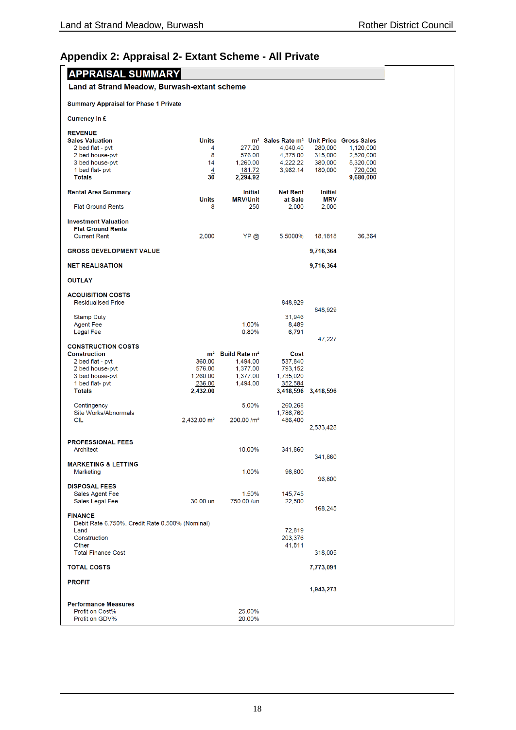# <span id="page-17-0"></span>**Appendix 2: Appraisal 2- Extant Scheme - All Private**

| <b>APPRAISAL SUMMARY</b>                              |                                   |                           |                                                                             |                     |                      |
|-------------------------------------------------------|-----------------------------------|---------------------------|-----------------------------------------------------------------------------|---------------------|----------------------|
| Land at Strand Meadow, Burwash-extant scheme          |                                   |                           |                                                                             |                     |                      |
| <b>Summary Appraisal for Phase 1 Private</b>          |                                   |                           |                                                                             |                     |                      |
| Currency in £                                         |                                   |                           |                                                                             |                     |                      |
| <b>REVENUE</b>                                        |                                   |                           |                                                                             |                     |                      |
| <b>Sales Valuation</b><br>2 bed flat - pvt            | <b>Units</b><br>4                 | 277.20                    | m <sup>2</sup> Sales Rate m <sup>2</sup> Unit Price Gross Sales<br>4,040.40 | 280,000             | 1,120,000            |
| 2 bed house-pvt                                       | 8                                 | 576.00                    | 4,375.00                                                                    | 315,000             | 2,520,000            |
| 3 bed house-pvt                                       | 14                                | 1,260.00                  | 4,222.22                                                                    | 380,000             | 5,320,000            |
| 1 bed flat- pvt<br><b>Totals</b>                      | $\overline{4}$<br>$3\overline{0}$ | 181.72<br>2,294.92        | 3,962.14                                                                    | 180,000             | 720,000<br>9,680,000 |
| <b>Rental Area Summary</b>                            |                                   | <b>Initial</b>            | <b>Net Rent</b>                                                             | Initial             |                      |
| <b>Flat Ground Rents</b>                              | <b>Units</b><br>8                 | <b>MRV/Unit</b><br>250    | at Sale<br>2,000                                                            | <b>MRV</b><br>2,000 |                      |
| <b>Investment Valuation</b>                           |                                   |                           |                                                                             |                     |                      |
| <b>Flat Ground Rents</b>                              |                                   |                           |                                                                             |                     |                      |
| <b>Current Rent</b>                                   | 2,000                             | YP @                      | 5.5000%                                                                     | 18.1818             | 36,364               |
| <b>GROSS DEVELOPMENT VALUE</b>                        |                                   |                           |                                                                             | 9,716,364           |                      |
| <b>NET REALISATION</b>                                |                                   |                           |                                                                             | 9,716,364           |                      |
| <b>OUTLAY</b>                                         |                                   |                           |                                                                             |                     |                      |
| <b>ACQUISITION COSTS</b><br><b>Residualised Price</b> |                                   |                           | 848,929                                                                     |                     |                      |
| <b>Stamp Duty</b>                                     |                                   |                           | 31,946                                                                      | 848,929             |                      |
| <b>Agent Fee</b>                                      |                                   | 1.00%                     | 8,489                                                                       |                     |                      |
| <b>Legal Fee</b>                                      |                                   | 0.80%                     | 6,791                                                                       |                     |                      |
| <b>CONSTRUCTION COSTS</b>                             |                                   |                           |                                                                             | 47,227              |                      |
| <b>Construction</b>                                   | m <sup>2</sup>                    | Build Rate m <sup>2</sup> | Cost                                                                        |                     |                      |
| 2 bed flat - pvt                                      | 360.00                            | 1,494.00                  | 537,840                                                                     |                     |                      |
| 2 bed house-pvt                                       | 576.00<br>1,260.00                | 1,377.00                  | 793,152<br>1,735,020                                                        |                     |                      |
| 3 bed house-pvt<br>1 bed flat- pvt                    | 236.00                            | 1,377.00<br>1,494.00      | 352,584                                                                     |                     |                      |
| <b>Totals</b>                                         | 2,432.00                          |                           | 3,418,596                                                                   | 3,418,596           |                      |
|                                                       |                                   |                           |                                                                             |                     |                      |
| Contingency<br>Site Works/Abnormals                   |                                   | 5.00%                     | 260,268<br>1,786,760                                                        |                     |                      |
| <b>CIL</b>                                            | 2,432.00 m <sup>2</sup>           | 200.00 /m <sup>2</sup>    | 486,400                                                                     |                     |                      |
|                                                       |                                   |                           |                                                                             | 2,533,428           |                      |
| <b>PROFESSIONAL FEES</b>                              |                                   |                           |                                                                             |                     |                      |
| Architect                                             |                                   | 10.00%                    | 341,860                                                                     |                     |                      |
|                                                       |                                   |                           |                                                                             | 341,860             |                      |
| <b>MARKETING &amp; LETTING</b>                        |                                   |                           |                                                                             |                     |                      |
| Marketing                                             |                                   | 1.00%                     | 96,800                                                                      | 96,800              |                      |
| <b>DISPOSAL FEES</b>                                  |                                   |                           |                                                                             |                     |                      |
| Sales Agent Fee                                       |                                   | 1.50%                     | 145,745                                                                     |                     |                      |
| Sales Legal Fee                                       | 30.00 un                          | 750.00 /un                | 22,500                                                                      | 168,245             |                      |
| <b>FINANCE</b>                                        |                                   |                           |                                                                             |                     |                      |
| Debit Rate 6.750%, Credit Rate 0.500% (Nominal)       |                                   |                           |                                                                             |                     |                      |
| Land<br>Construction                                  |                                   |                           | 72.819<br>203,376                                                           |                     |                      |
| Other                                                 |                                   |                           | 41,811                                                                      |                     |                      |
| <b>Total Finance Cost</b>                             |                                   |                           |                                                                             | 318,005             |                      |
| <b>TOTAL COSTS</b>                                    |                                   |                           |                                                                             | 7,773,091           |                      |
| <b>PROFIT</b>                                         |                                   |                           |                                                                             | 1,943,273           |                      |
|                                                       |                                   |                           |                                                                             |                     |                      |
| <b>Performance Measures</b><br>Profit on Cost%        |                                   | 25.00%                    |                                                                             |                     |                      |
| Profit on GDV%                                        |                                   | 20.00%                    |                                                                             |                     |                      |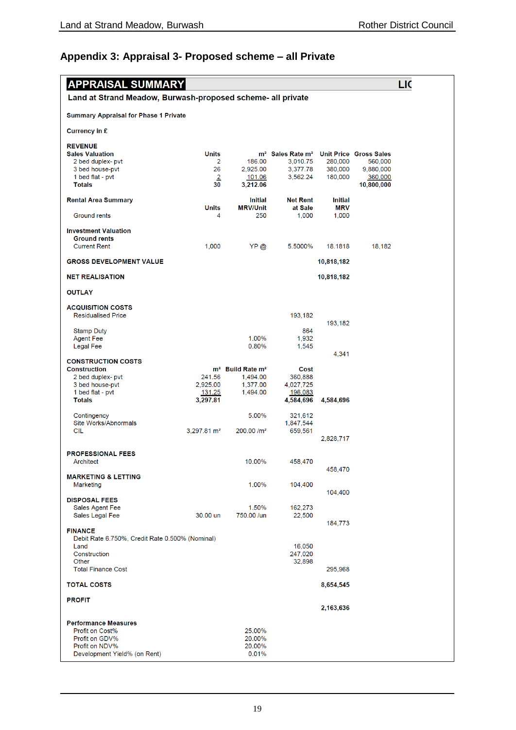# <span id="page-18-0"></span>**Appendix 3: Appraisal 3- Proposed scheme – all Private**

| <b>APPRAISAL SUMMARY</b>                                    |                         |                                          |                                                                 |                     |            | LIC |
|-------------------------------------------------------------|-------------------------|------------------------------------------|-----------------------------------------------------------------|---------------------|------------|-----|
| Land at Strand Meadow, Burwash-proposed scheme- all private |                         |                                          |                                                                 |                     |            |     |
| <b>Summary Appraisal for Phase 1 Private</b>                |                         |                                          |                                                                 |                     |            |     |
| Currency in £                                               |                         |                                          |                                                                 |                     |            |     |
| <b>REVENUE</b>                                              |                         |                                          |                                                                 |                     |            |     |
| <b>Sales Valuation</b>                                      | <b>Units</b>            |                                          | m <sup>2</sup> Sales Rate m <sup>2</sup> Unit Price Gross Sales |                     |            |     |
| 2 bed duplex- pvt                                           | 2                       | 186.00                                   | 3.010.75                                                        | 280,000             | 560,000    |     |
| 3 bed house-pvt                                             | 26                      | 2,925.00                                 | 3,377.78                                                        | 380,000             | 9,880,000  |     |
| 1 bed flat - pvt<br><b>Totals</b>                           | $\overline{2}$<br>30    | <u>101.06</u>                            | 3,562.24                                                        | 180,000             | 360,000    |     |
|                                                             |                         | 3,212.06                                 |                                                                 |                     | 10,800,000 |     |
| <b>Rental Area Summary</b>                                  |                         | <b>Initial</b>                           | <b>Net Rent</b>                                                 | <b>Initial</b>      |            |     |
| Ground rents                                                | <b>Units</b><br>4       | <b>MRV/Unit</b><br>250                   | at Sale<br>1,000                                                | <b>MRV</b><br>1,000 |            |     |
| <b>Investment Valuation</b>                                 |                         |                                          |                                                                 |                     |            |     |
| <b>Ground rents</b>                                         |                         |                                          |                                                                 |                     |            |     |
| <b>Current Rent</b>                                         | 1.000                   | YP @                                     | 5.5000%                                                         | 18.1818             | 18,182     |     |
| <b>GROSS DEVELOPMENT VALUE</b>                              |                         |                                          |                                                                 | 10,818,182          |            |     |
| <b>NET REALISATION</b>                                      |                         |                                          |                                                                 | 10,818,182          |            |     |
| <b>OUTLAY</b>                                               |                         |                                          |                                                                 |                     |            |     |
| <b>ACQUISITION COSTS</b>                                    |                         |                                          |                                                                 |                     |            |     |
| <b>Residualised Price</b>                                   |                         |                                          | 193,182                                                         |                     |            |     |
|                                                             |                         |                                          |                                                                 | 193,182             |            |     |
| <b>Stamp Duty</b>                                           |                         |                                          | 864                                                             |                     |            |     |
| <b>Agent Fee</b>                                            |                         | 1.00%                                    | 1,932                                                           |                     |            |     |
| <b>Legal Fee</b>                                            |                         | 0.80%                                    | 1,545                                                           | 4,341               |            |     |
| <b>CONSTRUCTION COSTS</b>                                   |                         |                                          |                                                                 |                     |            |     |
| <b>Construction</b>                                         |                         | m <sup>2</sup> Build Rate m <sup>2</sup> | Cost                                                            |                     |            |     |
| 2 bed duplex- pvt                                           | 241.56                  | 1,494.00                                 | 360,888                                                         |                     |            |     |
| 3 bed house-pvt                                             | 2,925.00                | 1,377.00                                 | 4,027,725                                                       |                     |            |     |
| 1 bed flat - pvt                                            | 131.25                  | 1,494.00                                 | 196,083                                                         |                     |            |     |
| <b>Totals</b>                                               | 3,297.81                |                                          | 4,584,696                                                       | 4,584,696           |            |     |
| Contingency                                                 |                         | 5.00%                                    | 321,612                                                         |                     |            |     |
| Site Works/Abnormals                                        |                         |                                          | 1,847,544                                                       |                     |            |     |
| <b>CIL</b>                                                  | 3,297.81 m <sup>2</sup> | 200.00 /m <sup>2</sup>                   | 659,561                                                         |                     |            |     |
|                                                             |                         |                                          |                                                                 | 2,828,717           |            |     |
|                                                             |                         |                                          |                                                                 |                     |            |     |
| <b>PROFESSIONAL FEES</b>                                    |                         |                                          |                                                                 |                     |            |     |
| Architect                                                   |                         | 10.00%                                   | 458,470                                                         | 458,470             |            |     |
| <b>MARKETING &amp; LETTING</b>                              |                         |                                          |                                                                 |                     |            |     |
| Marketing                                                   |                         | 1.00%                                    | 104,400                                                         |                     |            |     |
|                                                             |                         |                                          |                                                                 | 104,400             |            |     |
| <b>DISPOSAL FEES</b>                                        |                         |                                          |                                                                 |                     |            |     |
| Sales Agent Fee<br>Sales Legal Fee                          | 30.00 un                | 1.50%<br>750.00 /un                      | 162,273<br>22,500                                               |                     |            |     |
|                                                             |                         |                                          |                                                                 | 184,773             |            |     |
| <b>FINANCE</b>                                              |                         |                                          |                                                                 |                     |            |     |
| Debit Rate 6.750%, Credit Rate 0.500% (Nominal)             |                         |                                          |                                                                 |                     |            |     |
| Land                                                        |                         |                                          | 16,050                                                          |                     |            |     |
| Construction                                                |                         |                                          | 247,020                                                         |                     |            |     |
| Other<br><b>Total Finance Cost</b>                          |                         |                                          | 32,898                                                          | 295,968             |            |     |
|                                                             |                         |                                          |                                                                 |                     |            |     |
| <b>TOTAL COSTS</b>                                          |                         |                                          |                                                                 | 8,654,545           |            |     |
| <b>PROFIT</b>                                               |                         |                                          |                                                                 |                     |            |     |
|                                                             |                         |                                          |                                                                 | 2,163,636           |            |     |
| <b>Performance Measures</b>                                 |                         |                                          |                                                                 |                     |            |     |
| Profit on Cost%                                             |                         | 25.00%                                   |                                                                 |                     |            |     |
| Profit on GDV%                                              |                         | 20.00%                                   |                                                                 |                     |            |     |
| Profit on NDV%                                              |                         | 20.00%                                   |                                                                 |                     |            |     |
| Development Yield% (on Rent)                                |                         | 0.01%                                    |                                                                 |                     |            |     |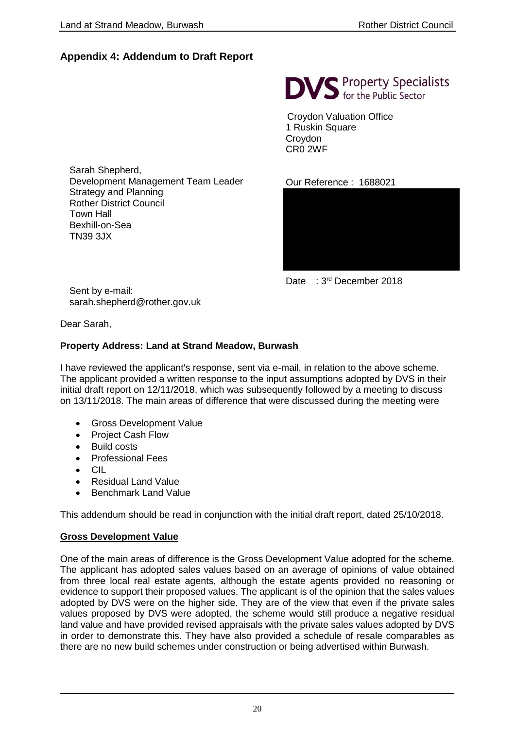## <span id="page-19-0"></span>**Appendix 4: Addendum to Draft Report**

**DVS** Property Specialists

Croydon Valuation Office 1 Ruskin Square Croydon CR0 2WF

Our Reference : 1688021



Date : 3<sup>rd</sup> December 2018

Sarah Shepherd, Development Management Team Leader Strategy and Planning Rother District Council Town Hall Bexhill-on-Sea TN39 3JX

Sent by e-mail: [sarah.shepherd@rother.gov.uk](mailto:sarah.shepherd@rother.gov.uk)

Dear Sarah,

## **Property Address: Land at Strand Meadow, Burwash**

I have reviewed the applicant's response, sent via e-mail, in relation to the above scheme. The applicant provided a written response to the input assumptions adopted by DVS in their initial draft report on 12/11/2018, which was subsequently followed by a meeting to discuss on 13/11/2018. The main areas of difference that were discussed during the meeting were

- Gross Development Value
- Project Cash Flow
- Build costs
- Professional Fees
- CIL
- Residual Land Value
- Benchmark Land Value

This addendum should be read in conjunction with the initial draft report, dated 25/10/2018.

## **Gross Development Value**

One of the main areas of difference is the Gross Development Value adopted for the scheme. The applicant has adopted sales values based on an average of opinions of value obtained from three local real estate agents, although the estate agents provided no reasoning or evidence to support their proposed values. The applicant is of the opinion that the sales values adopted by DVS were on the higher side. They are of the view that even if the private sales values proposed by DVS were adopted, the scheme would still produce a negative residual land value and have provided revised appraisals with the private sales values adopted by DVS in order to demonstrate this. They have also provided a schedule of resale comparables as there are no new build schemes under construction or being advertised within Burwash.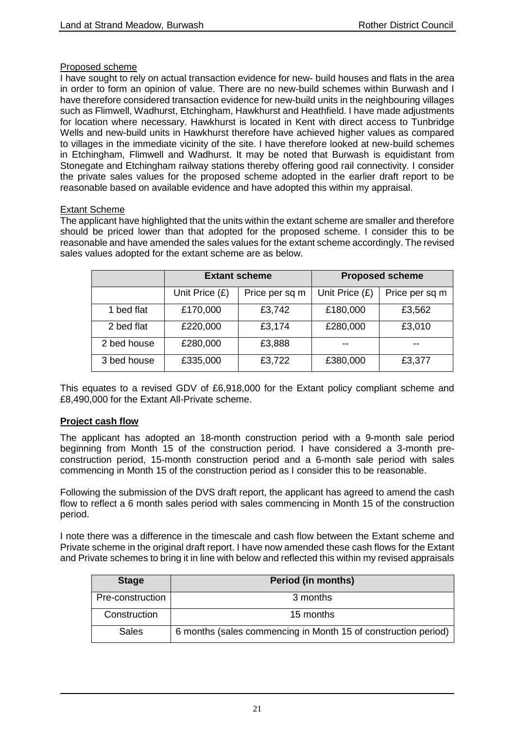#### Proposed scheme

I have sought to rely on actual transaction evidence for new- build houses and flats in the area in order to form an opinion of value. There are no new-build schemes within Burwash and I have therefore considered transaction evidence for new-build units in the neighbouring villages such as Flimwell, Wadhurst, Etchingham, Hawkhurst and Heathfield. I have made adjustments for location where necessary. Hawkhurst is located in Kent with direct access to Tunbridge Wells and new-build units in Hawkhurst therefore have achieved higher values as compared to villages in the immediate vicinity of the site. I have therefore looked at new-build schemes in Etchingham, Flimwell and Wadhurst. It may be noted that Burwash is equidistant from Stonegate and Etchingham railway stations thereby offering good rail connectivity. I consider the private sales values for the proposed scheme adopted in the earlier draft report to be reasonable based on available evidence and have adopted this within my appraisal.

#### **Extant Scheme**

The applicant have highlighted that the units within the extant scheme are smaller and therefore should be priced lower than that adopted for the proposed scheme. I consider this to be reasonable and have amended the sales values for the extant scheme accordingly. The revised sales values adopted for the extant scheme are as below.

|             |                | <b>Extant scheme</b> | <b>Proposed scheme</b> |                |  |
|-------------|----------------|----------------------|------------------------|----------------|--|
|             | Unit Price (£) | Price per sq m       | Unit Price (£)         | Price per sq m |  |
| 1 bed flat  | £170,000       | £3,742               | £180,000               | £3,562         |  |
| 2 bed flat  | £220,000       | £3,174               | £280,000               | £3,010         |  |
| 2 bed house | £280,000       | £3,888               | --                     | --             |  |
| 3 bed house | £335,000       | £3,722               | £380,000               | £3,377         |  |

This equates to a revised GDV of £6,918,000 for the Extant policy compliant scheme and £8,490,000 for the Extant All-Private scheme.

## **Project cash flow**

The applicant has adopted an 18-month construction period with a 9-month sale period beginning from Month 15 of the construction period. I have considered a 3-month preconstruction period, 15-month construction period and a 6-month sale period with sales commencing in Month 15 of the construction period as I consider this to be reasonable.

Following the submission of the DVS draft report, the applicant has agreed to amend the cash flow to reflect a 6 month sales period with sales commencing in Month 15 of the construction period.

I note there was a difference in the timescale and cash flow between the Extant scheme and Private scheme in the original draft report. I have now amended these cash flows for the Extant and Private schemes to bring it in line with below and reflected this within my revised appraisals

| <b>Stage</b>     | <b>Period (in months)</b>                                      |
|------------------|----------------------------------------------------------------|
| Pre-construction | 3 months                                                       |
| Construction     | 15 months                                                      |
| <b>Sales</b>     | 6 months (sales commencing in Month 15 of construction period) |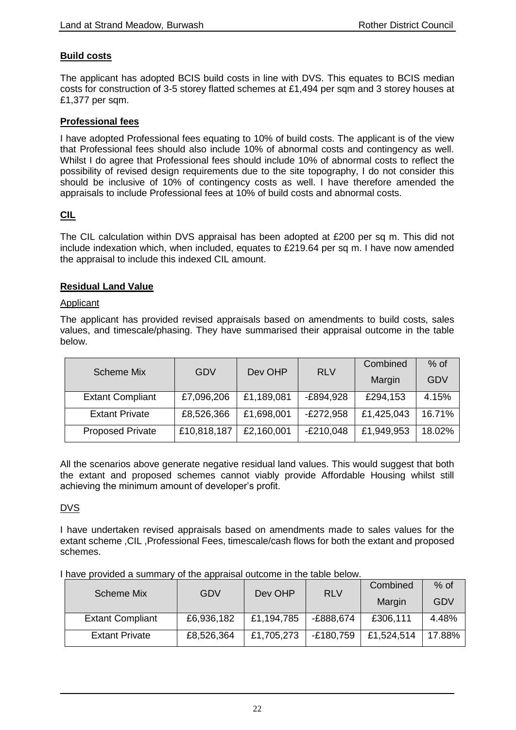## **Build costs**

The applicant has adopted BCIS build costs in line with DVS. This equates to BCIS median costs for construction of 3-5 storey flatted schemes at £1,494 per sqm and 3 storey houses at £1,377 per sqm.

#### **Professional fees**

I have adopted Professional fees equating to 10% of build costs. The applicant is of the view that Professional fees should also include 10% of abnormal costs and contingency as well. Whilst I do agree that Professional fees should include 10% of abnormal costs to reflect the possibility of revised design requirements due to the site topography, I do not consider this should be inclusive of 10% of contingency costs as well. I have therefore amended the appraisals to include Professional fees at 10% of build costs and abnormal costs.

## **CIL**

The CIL calculation within DVS appraisal has been adopted at £200 per sq m. This did not include indexation which, when included, equates to £219.64 per sq m. I have now amended the appraisal to include this indexed CIL amount.

#### **Residual Land Value**

#### Applicant

The applicant has provided revised appraisals based on amendments to build costs, sales values, and timescale/phasing. They have summarised their appraisal outcome in the table below.

| <b>Scheme Mix</b>       | GDV         | Dev OHP    | <b>RLV</b>  | Combined   | $%$ of     |
|-------------------------|-------------|------------|-------------|------------|------------|
|                         |             |            |             | Margin     | <b>GDV</b> |
| <b>Extant Compliant</b> | £7,096,206  | £1,189,081 | $-E894,928$ | £294,153   | 4.15%      |
| <b>Extant Private</b>   | £8,526,366  | £1,698,001 | $-E272,958$ | £1,425,043 | 16.71%     |
| <b>Proposed Private</b> | £10,818,187 | £2,160,001 | $-E210,048$ | £1,949,953 | 18.02%     |

All the scenarios above generate negative residual land values. This would suggest that both the extant and proposed schemes cannot viably provide Affordable Housing whilst still achieving the minimum amount of developer's profit.

## DVS

I have undertaken revised appraisals based on amendments made to sales values for the extant scheme ,CIL ,Professional Fees, timescale/cash flows for both the extant and proposed schemes.

|  |  | I have provided a summary of the appraisal outcome in the table below. |
|--|--|------------------------------------------------------------------------|
|  |  |                                                                        |

| <b>Scheme Mix</b>       | Dev OHP<br>GDV | <b>RLV</b> | Combined    | $%$ of     |        |
|-------------------------|----------------|------------|-------------|------------|--------|
|                         |                |            |             | Margin     | GDV    |
| <b>Extant Compliant</b> | £6,936,182     | £1,194,785 | -£888,674   | £306,111   | 4.48%  |
| <b>Extant Private</b>   | £8,526,364     | £1,705,273 | $-£180,759$ | £1,524,514 | 17.88% |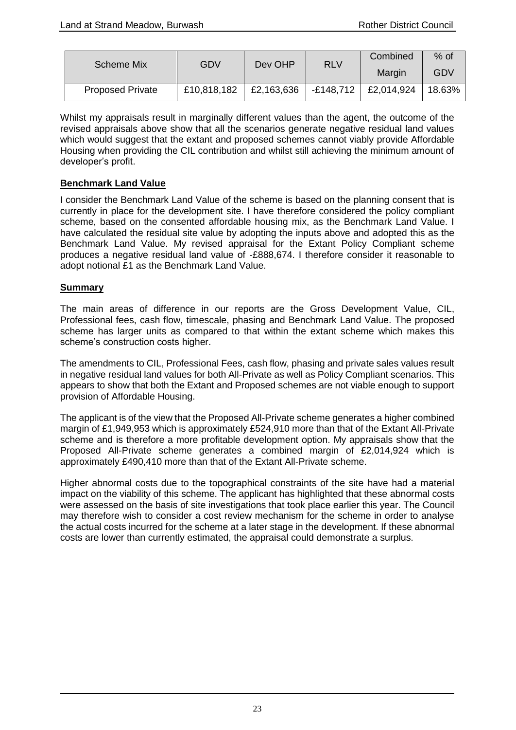| Scheme Mix              | GDV         | Dev OHP    | <b>RLV</b> | Combined   | $%$ of |
|-------------------------|-------------|------------|------------|------------|--------|
|                         |             |            |            | Margin     | GDV    |
| <b>Proposed Private</b> | £10,818,182 | £2,163,636 | -£148,712  | £2,014,924 | 18.63% |

Whilst my appraisals result in marginally different values than the agent, the outcome of the revised appraisals above show that all the scenarios generate negative residual land values which would suggest that the extant and proposed schemes cannot viably provide Affordable Housing when providing the CIL contribution and whilst still achieving the minimum amount of developer's profit.

#### **Benchmark Land Value**

I consider the Benchmark Land Value of the scheme is based on the planning consent that is currently in place for the development site. I have therefore considered the policy compliant scheme, based on the consented affordable housing mix, as the Benchmark Land Value. I have calculated the residual site value by adopting the inputs above and adopted this as the Benchmark Land Value. My revised appraisal for the Extant Policy Compliant scheme produces a negative residual land value of -£888,674. I therefore consider it reasonable to adopt notional £1 as the Benchmark Land Value.

#### **Summary**

The main areas of difference in our reports are the Gross Development Value, CIL, Professional fees, cash flow, timescale, phasing and Benchmark Land Value. The proposed scheme has larger units as compared to that within the extant scheme which makes this scheme's construction costs higher.

The amendments to CIL, Professional Fees, cash flow, phasing and private sales values result in negative residual land values for both All-Private as well as Policy Compliant scenarios. This appears to show that both the Extant and Proposed schemes are not viable enough to support provision of Affordable Housing.

The applicant is of the view that the Proposed All-Private scheme generates a higher combined margin of £1,949,953 which is approximately £524,910 more than that of the Extant All-Private scheme and is therefore a more profitable development option. My appraisals show that the Proposed All-Private scheme generates a combined margin of £2,014,924 which is approximately £490,410 more than that of the Extant All-Private scheme.

Higher abnormal costs due to the topographical constraints of the site have had a material impact on the viability of this scheme. The applicant has highlighted that these abnormal costs were assessed on the basis of site investigations that took place earlier this year. The Council may therefore wish to consider a cost review mechanism for the scheme in order to analyse the actual costs incurred for the scheme at a later stage in the development. If these abnormal costs are lower than currently estimated, the appraisal could demonstrate a surplus.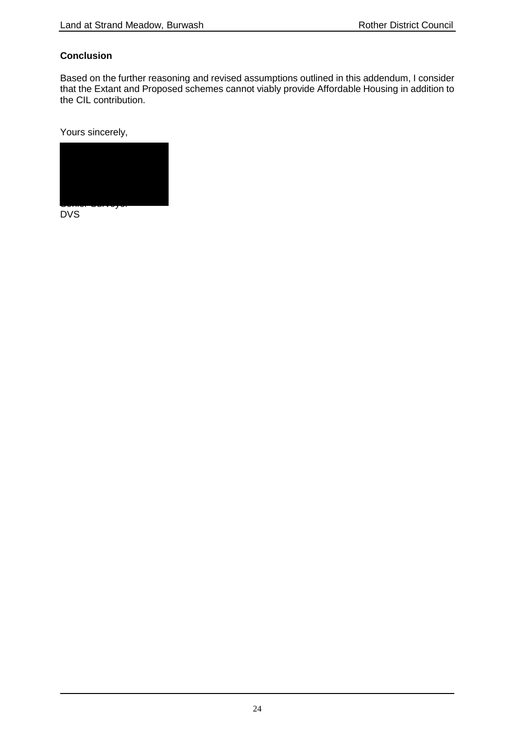## **Conclusion**

Based on the further reasoning and revised assumptions outlined in this addendum, I consider that the Extant and Proposed schemes cannot viably provide Affordable Housing in addition to the CIL contribution.

Yours sincerely,



DVS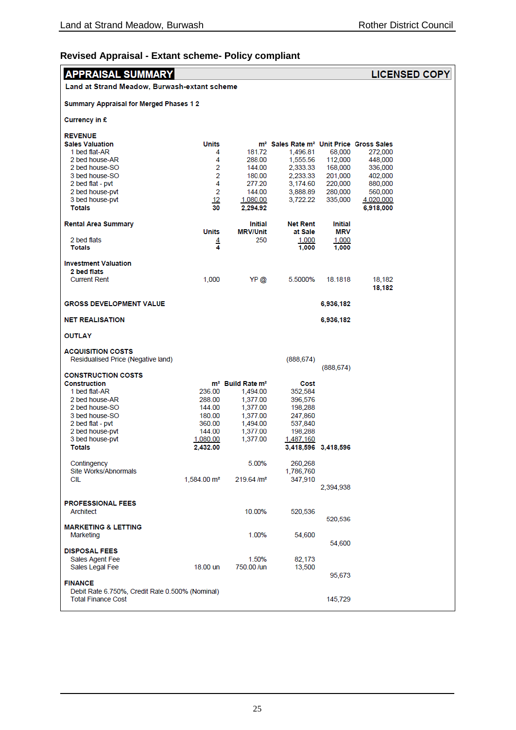# **Revised Appraisal - Extant scheme- Policy compliant**

| <b>APPRAISAL SUMMARY</b>                                       |                        |                                          |                                                                 |                       |                    | <b>LICENSED COPY</b> |
|----------------------------------------------------------------|------------------------|------------------------------------------|-----------------------------------------------------------------|-----------------------|--------------------|----------------------|
| Land at Strand Meadow, Burwash-extant scheme                   |                        |                                          |                                                                 |                       |                    |                      |
| <b>Summary Appraisal for Merged Phases 12</b>                  |                        |                                          |                                                                 |                       |                    |                      |
| Currency in £                                                  |                        |                                          |                                                                 |                       |                    |                      |
| <b>REVENUE</b>                                                 |                        |                                          |                                                                 |                       |                    |                      |
| <b>Sales Valuation</b>                                         | Units                  |                                          | m <sup>2</sup> Sales Rate m <sup>2</sup> Unit Price Gross Sales |                       |                    |                      |
| 1 bed flat-AR                                                  | 4<br>4                 | 181.72                                   | 1,496.81                                                        | 68,000                | 272,000<br>448,000 |                      |
| 2 bed house-AR<br>2 bed house-SO                               | 2                      | 288.00<br>144.00                         | 1,555.56<br>2,333.33                                            | 112,000<br>168,000    | 336,000            |                      |
| 3 bed house-SO                                                 | 2                      | 180.00                                   | 2,233.33                                                        | 201,000               | 402,000            |                      |
| 2 bed flat - pvt                                               | 4                      | 277.20                                   | 3,174.60                                                        | 220,000               | 880,000            |                      |
| 2 bed house-pvt                                                | 2                      | 144.00                                   | 3,888.89                                                        | 280,000               | 560,000            |                      |
| 3 bed house-pvt                                                | 12                     | 1,080.00                                 | 3,722.22                                                        | 335,000               | 4,020,000          |                      |
| <b>Totals</b>                                                  | 30                     | 2.294.92                                 |                                                                 |                       | 6,918,000          |                      |
| <b>Rental Area Summary</b>                                     | <b>Units</b>           | Initial<br><b>MRV/Unit</b>               | <b>Net Rent</b><br>at Sale                                      | <b>Initial</b><br>MRV |                    |                      |
| 2 bed flats                                                    |                        | 250                                      | 1,000                                                           | 1,000                 |                    |                      |
| <b>Totals</b>                                                  | $\frac{4}{4}$          |                                          | 1.000                                                           | 1,000                 |                    |                      |
| <b>Investment Valuation</b>                                    |                        |                                          |                                                                 |                       |                    |                      |
| 2 bed flats                                                    |                        |                                          |                                                                 |                       |                    |                      |
| <b>Current Rent</b>                                            | 1,000                  | YP@                                      | 5.5000%                                                         | 18.1818               | 18,182<br>18,182   |                      |
| <b>GROSS DEVELOPMENT VALUE</b>                                 |                        |                                          |                                                                 | 6,936,182             |                    |                      |
| <b>NET REALISATION</b>                                         |                        |                                          |                                                                 | 6,936,182             |                    |                      |
| <b>OUTLAY</b>                                                  |                        |                                          |                                                                 |                       |                    |                      |
| <b>ACQUISITION COSTS</b><br>Residualised Price (Negative land) |                        |                                          | (888, 674)                                                      |                       |                    |                      |
|                                                                |                        |                                          |                                                                 | (888, 674)            |                    |                      |
| <b>CONSTRUCTION COSTS</b>                                      |                        |                                          |                                                                 |                       |                    |                      |
| <b>Construction</b>                                            |                        | m <sup>2</sup> Build Rate m <sup>2</sup> | Cost                                                            |                       |                    |                      |
| 1 bed flat-AR                                                  | 236.00                 | 1,494.00                                 | 352,584                                                         |                       |                    |                      |
| 2 bed house-AR<br>2 bed house-SO                               | 288.00                 | 1,377.00                                 | 396,576                                                         |                       |                    |                      |
| 3 bed house-SO                                                 | 144.00<br>180.00       | 1,377.00<br>1,377.00                     | 198,288<br>247,860                                              |                       |                    |                      |
| 2 bed flat - pvt                                               | 360.00                 | 1,494.00                                 | 537,840                                                         |                       |                    |                      |
| 2 bed house-pvt                                                | 144.00                 | 1,377.00                                 | 198,288                                                         |                       |                    |                      |
| 3 bed house-pvt                                                | 1,080.00               | 1,377.00                                 | 1,487,160                                                       |                       |                    |                      |
| <b>Totals</b>                                                  | 2.432.00               |                                          |                                                                 | 3,418,596 3,418,596   |                    |                      |
| Contingency<br>Site Works/Abnormals                            |                        | 5.00%                                    | 260,268<br>1,786,760                                            |                       |                    |                      |
| CIL                                                            | $1,584.00 \text{ m}^2$ | 219.64/m <sup>2</sup>                    | 347,910                                                         |                       |                    |                      |
|                                                                |                        |                                          |                                                                 | 2,394,938             |                    |                      |
| <b>PROFESSIONAL FEES</b>                                       |                        |                                          |                                                                 |                       |                    |                      |
| Architect                                                      |                        | 10.00%                                   | 520,536                                                         | 520,536               |                    |                      |
| <b>MARKETING &amp; LETTING</b>                                 |                        |                                          |                                                                 |                       |                    |                      |
| Marketing                                                      |                        | 1.00%                                    | 54,600                                                          | 54,600                |                    |                      |
| <b>DISPOSAL FEES</b>                                           |                        |                                          |                                                                 |                       |                    |                      |
| Sales Agent Fee                                                |                        | 1.50%                                    | 82,173                                                          |                       |                    |                      |
| Sales Legal Fee                                                | 18.00 un               | 750.00 /un                               | 13,500                                                          | 95,673                |                    |                      |
| <b>FINANCE</b>                                                 |                        |                                          |                                                                 |                       |                    |                      |
| Debit Rate 6.750%, Credit Rate 0.500% (Nominal)                |                        |                                          |                                                                 |                       |                    |                      |
| <b>Total Finance Cost</b>                                      |                        |                                          |                                                                 | 145,729               |                    |                      |
|                                                                |                        |                                          |                                                                 |                       |                    |                      |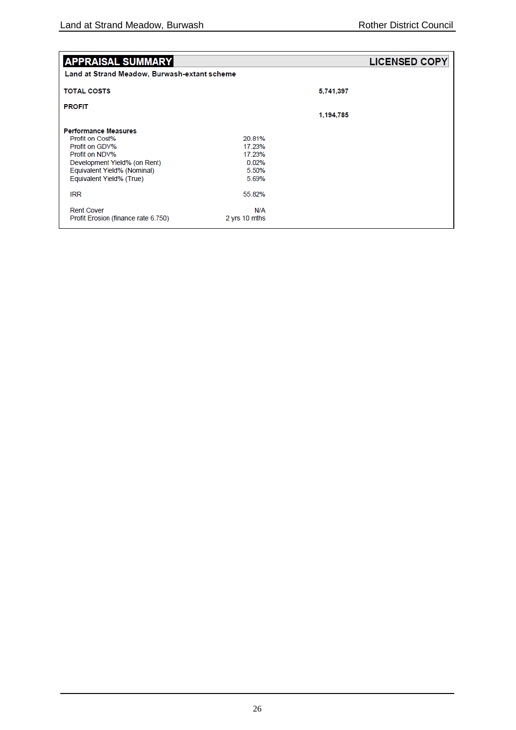| <b>APPRAISAL SUMMARY</b><br>Land at Strand Meadow, Burwash-extant scheme                                                                                                      |                                                       |           | <b>LICENSED COPY</b> |
|-------------------------------------------------------------------------------------------------------------------------------------------------------------------------------|-------------------------------------------------------|-----------|----------------------|
| <b>TOTAL COSTS</b>                                                                                                                                                            |                                                       | 5,741,397 |                      |
| <b>PROFIT</b>                                                                                                                                                                 |                                                       |           |                      |
|                                                                                                                                                                               |                                                       | 1,194,785 |                      |
| <b>Performance Measures</b><br>Profit on Cost%<br>Profit on GDV%<br>Profit on NDV%<br>Development Yield% (on Rent)<br>Equivalent Yield% (Nominal)<br>Equivalent Yield% (True) | 20.81%<br>17 23%<br>17 23%<br>0.02%<br>5.50%<br>5.69% |           |                      |
| <b>IRR</b>                                                                                                                                                                    | 55.82%                                                |           |                      |
| <b>Rent Cover</b><br>Profit Erosion (finance rate 6.750)                                                                                                                      | N/A<br>2 yrs 10 mths                                  |           |                      |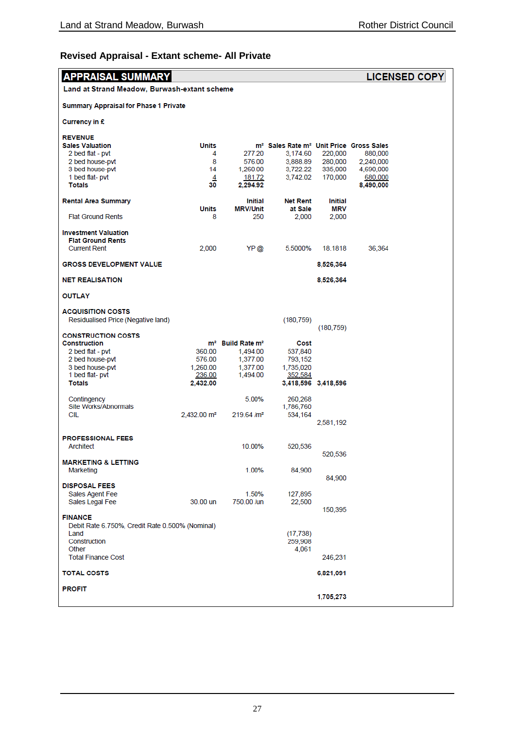## **Revised Appraisal - Extant scheme- All Private**

| <b>APPRAISAL SUMMARY</b><br><b>LICENSED COPY</b>                               |                           |                                          |                                                                 |                     |                      |  |
|--------------------------------------------------------------------------------|---------------------------|------------------------------------------|-----------------------------------------------------------------|---------------------|----------------------|--|
| Land at Strand Meadow, Burwash-extant scheme                                   |                           |                                          |                                                                 |                     |                      |  |
| <b>Summary Appraisal for Phase 1 Private</b>                                   |                           |                                          |                                                                 |                     |                      |  |
| Currency in £                                                                  |                           |                                          |                                                                 |                     |                      |  |
| <b>REVENUE</b>                                                                 |                           |                                          |                                                                 |                     |                      |  |
| <b>Sales Valuation</b>                                                         | <b>Units</b>              |                                          | m <sup>2</sup> Sales Rate m <sup>2</sup> Unit Price Gross Sales |                     |                      |  |
| 2 bed flat - pvt                                                               | 4                         | 277.20                                   | 3,174.60                                                        | 220,000             | 880,000              |  |
| 2 bed house-pvt                                                                | 8                         | 576.00                                   | 3,888.89                                                        | 280,000             | 2,240,000            |  |
| 3 bed house-pvt                                                                | 14                        | 1,260.00                                 | 3,722.22                                                        | 335,000             | 4,690,000            |  |
| 1 bed flat- pvt<br><b>Totals</b>                                               | 4<br>30                   | 181.72<br>2.294.92                       | 3,742.02                                                        | 170,000             | 680,000<br>8,490,000 |  |
| <b>Rental Area Summary</b>                                                     |                           | Initial                                  | <b>Net Rent</b>                                                 | <b>Initial</b>      |                      |  |
|                                                                                | Units                     | <b>MRV/Unit</b>                          | at Sale                                                         | <b>MRV</b>          |                      |  |
| <b>Flat Ground Rents</b>                                                       | 8                         | 250                                      | 2,000                                                           | 2,000               |                      |  |
| <b>Investment Valuation</b><br><b>Flat Ground Rents</b><br><b>Current Rent</b> | 2,000                     | YP @                                     | 5.5000%                                                         | 18.1818             | 36,364               |  |
|                                                                                |                           |                                          |                                                                 |                     |                      |  |
| <b>GROSS DEVELOPMENT VALUE</b>                                                 |                           |                                          |                                                                 | 8,526,364           |                      |  |
| <b>NET REALISATION</b>                                                         |                           |                                          |                                                                 | 8,526,364           |                      |  |
| <b>OUTLAY</b>                                                                  |                           |                                          |                                                                 |                     |                      |  |
| <b>ACQUISITION COSTS</b><br>Residualised Price (Negative land)                 |                           |                                          | (180, 759)                                                      |                     |                      |  |
| <b>CONSTRUCTION COSTS</b>                                                      |                           |                                          |                                                                 | (180, 759)          |                      |  |
| <b>Construction</b>                                                            |                           | m <sup>2</sup> Build Rate m <sup>2</sup> | Cost                                                            |                     |                      |  |
| 2 bed flat - pvt                                                               | 360.00                    | 1,494.00                                 | 537,840                                                         |                     |                      |  |
| 2 bed house-pvt                                                                | 576.00                    | 1,377.00                                 | 793,152                                                         |                     |                      |  |
| 3 bed house-pvt                                                                | 1,260.00                  | 1,377.00                                 | 1,735,020                                                       |                     |                      |  |
| 1 bed flat- pvt                                                                | 236.00                    | 1,494.00                                 | 352,584                                                         |                     |                      |  |
| <b>Totals</b>                                                                  | 2,432.00                  |                                          |                                                                 | 3,418,596 3,418,596 |                      |  |
| Contingency                                                                    |                           | 5.00%                                    | 260,268                                                         |                     |                      |  |
| Site Works/Abnormals                                                           |                           |                                          | 1,786,760                                                       |                     |                      |  |
| CIL                                                                            | $2.432.00$ m <sup>2</sup> | $219.64$ /m <sup>2</sup>                 | 534,164                                                         |                     |                      |  |
|                                                                                |                           |                                          |                                                                 | 2,581,192           |                      |  |
| <b>PROFESSIONAL FEES</b>                                                       |                           |                                          |                                                                 |                     |                      |  |
| Architect                                                                      |                           | 10.00%                                   | 520,536                                                         |                     |                      |  |
|                                                                                |                           |                                          |                                                                 | 520.536             |                      |  |
| <b>MARKETING &amp; LETTING</b>                                                 |                           |                                          |                                                                 |                     |                      |  |
| Marketing                                                                      |                           | 1.00%                                    | 84,900                                                          | 84,900              |                      |  |
| <b>DISPOSAL FEES</b>                                                           |                           |                                          |                                                                 |                     |                      |  |
| Sales Agent Fee                                                                |                           | 1.50%                                    | 127,895                                                         |                     |                      |  |
| Sales Legal Fee                                                                | 30.00 un                  | 750.00 /un                               | 22,500                                                          |                     |                      |  |
|                                                                                |                           |                                          |                                                                 | 150,395             |                      |  |
| <b>FINANCE</b>                                                                 |                           |                                          |                                                                 |                     |                      |  |
| Debit Rate 6.750%, Credit Rate 0.500% (Nominal)                                |                           |                                          |                                                                 |                     |                      |  |
| Land                                                                           |                           |                                          | (17, 738)                                                       |                     |                      |  |
| Construction<br>Other                                                          |                           |                                          | 259,908<br>4,061                                                |                     |                      |  |
| <b>Total Finance Cost</b>                                                      |                           |                                          |                                                                 | 246,231             |                      |  |
| <b>TOTAL COSTS</b>                                                             |                           |                                          |                                                                 | 6,821,091           |                      |  |
|                                                                                |                           |                                          |                                                                 |                     |                      |  |
| <b>PROFIT</b>                                                                  |                           |                                          |                                                                 |                     |                      |  |
|                                                                                |                           |                                          |                                                                 | 1,705,273           |                      |  |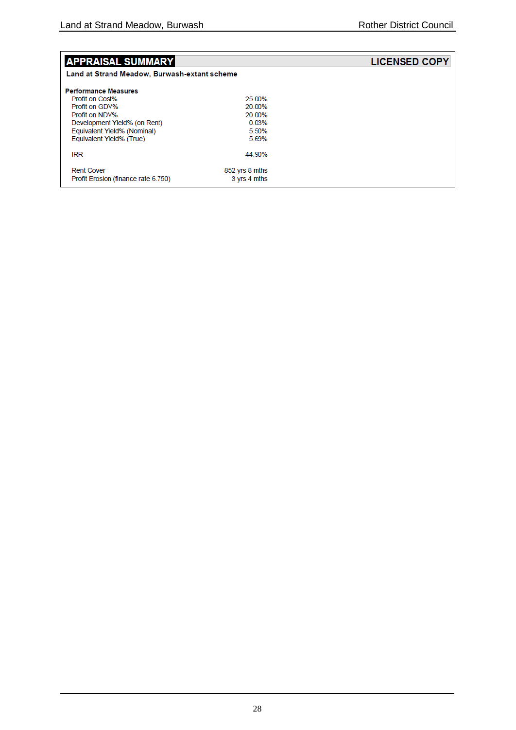| <b>APPRAISAL SUMMARY</b>                     |                | <b>LICENSED COPY</b> |
|----------------------------------------------|----------------|----------------------|
| Land at Strand Meadow, Burwash-extant scheme |                |                      |
| <b>Performance Measures</b>                  |                |                      |
| Profit on Cost%                              | 25.00%         |                      |
| Profit on GDV%                               | 20.00%         |                      |
| Profit on NDV%                               | 20.00%         |                      |
| Development Yield% (on Rent)                 | 0.03%          |                      |
| Equivalent Yield% (Nominal)                  | 5.50%          |                      |
| Equivalent Yield% (True)                     | 5.69%          |                      |
| <b>IRR</b>                                   | 44.90%         |                      |
| <b>Rent Cover</b>                            | 852 yrs 8 mths |                      |
| Profit Erosion (finance rate 6.750)          | 3 yrs 4 mths   |                      |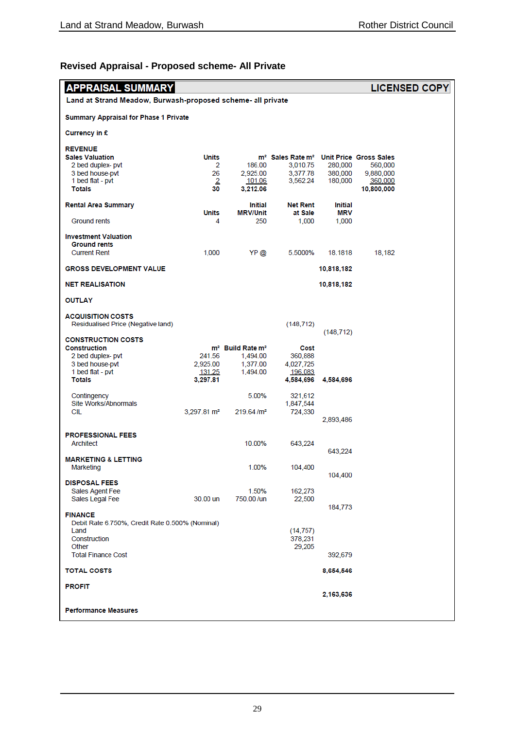## **Revised Appraisal - Proposed scheme- All Private**

| <b>APPRAISAL SUMMARY</b><br><b>LICENSED COPY</b>                  |                           |                                          |                                                                 |                       |                       |  |
|-------------------------------------------------------------------|---------------------------|------------------------------------------|-----------------------------------------------------------------|-----------------------|-----------------------|--|
| Land at Strand Meadow, Burwash-proposed scheme- all private       |                           |                                          |                                                                 |                       |                       |  |
| <b>Summary Appraisal for Phase 1 Private</b>                      |                           |                                          |                                                                 |                       |                       |  |
| Currency in £                                                     |                           |                                          |                                                                 |                       |                       |  |
| <b>REVENUE</b><br><b>Sales Valuation</b>                          | Units                     |                                          | m <sup>2</sup> Sales Rate m <sup>2</sup> Unit Price Gross Sales |                       |                       |  |
| 2 bed duplex- pvt                                                 | 2                         | 186.00                                   | 3,010.75                                                        | 280,000               | 560,000               |  |
| 3 bed house-pvt                                                   | 26                        | 2,925.00                                 | 3,377.78                                                        | 380,000               | 9,880,000             |  |
| 1 bed flat - pvt<br><b>Totals</b>                                 | $\overline{2}$<br>30      | 101.06<br>3,212.06                       | 3,562.24                                                        | 180,000               | 360,000<br>10,800,000 |  |
| <b>Rental Area Summary</b>                                        | Units                     | Initial<br><b>MRV/Unit</b>               | <b>Net Rent</b><br>at Sale                                      | <b>Initial</b><br>MRV |                       |  |
| Ground rents                                                      | 4                         | 250                                      | 1,000                                                           | 1,000                 |                       |  |
| <b>Investment Valuation</b><br><b>Ground rents</b>                |                           |                                          |                                                                 |                       |                       |  |
| <b>Current Rent</b>                                               | 1,000                     | YP @                                     | 5.5000%                                                         | 18.1818               | 18,182                |  |
| <b>GROSS DEVELOPMENT VALUE</b>                                    |                           |                                          |                                                                 | 10,818,182            |                       |  |
| <b>NET REALISATION</b>                                            |                           |                                          |                                                                 | 10,818,182            |                       |  |
| <b>OUTLAY</b>                                                     |                           |                                          |                                                                 |                       |                       |  |
| <b>ACQUISITION COSTS</b><br>Residualised Price (Negative land)    |                           |                                          | (148, 712)                                                      |                       |                       |  |
| <b>CONSTRUCTION COSTS</b>                                         |                           |                                          |                                                                 | (148, 712)            |                       |  |
| <b>Construction</b>                                               |                           | m <sup>2</sup> Build Rate m <sup>2</sup> | Cost                                                            |                       |                       |  |
| 2 bed duplex- pvt                                                 | 241.56                    | 1,494.00                                 | 360,888                                                         |                       |                       |  |
| 3 bed house-pvt<br>1 bed flat - pvt                               | 2,925.00<br><u>131.25</u> | 1,377.00<br>1,494.00                     | 4,027,725<br>196,083                                            |                       |                       |  |
| <b>Totals</b>                                                     | 3,297.81                  |                                          | 4,584,696                                                       | 4,584,696             |                       |  |
| Contingency                                                       |                           | 5.00%                                    | 321,612                                                         |                       |                       |  |
| Site Works/Abnormals                                              |                           |                                          | 1,847,544                                                       |                       |                       |  |
| CIL                                                               | $3,297.81 \text{ m}^2$    | 219.64/m <sup>2</sup>                    | 724,330                                                         | 2,893,486             |                       |  |
| <b>PROFESSIONAL FEES</b>                                          |                           |                                          |                                                                 |                       |                       |  |
| Architect                                                         |                           | 10.00%                                   | 643,224                                                         |                       |                       |  |
|                                                                   |                           |                                          |                                                                 | 643,224               |                       |  |
| <b>MARKETING &amp; LETTING</b><br>Marketing                       |                           | 1.00%                                    | 104,400                                                         |                       |                       |  |
|                                                                   |                           |                                          |                                                                 | 104,400               |                       |  |
| <b>DISPOSAL FEES</b><br>Sales Agent Fee                           |                           | 1.50%                                    | 162,273                                                         |                       |                       |  |
| Sales Legal Fee                                                   | 30.00 un                  | 750.00 /un                               | 22,500                                                          |                       |                       |  |
| <b>FINANCE</b><br>Debit Rate 6.750%, Credit Rate 0.500% (Nominal) |                           |                                          |                                                                 | 184,773               |                       |  |
| Land                                                              |                           |                                          | (14, 757)                                                       |                       |                       |  |
| Construction                                                      |                           |                                          | 378,231                                                         |                       |                       |  |
| Other<br><b>Total Finance Cost</b>                                |                           |                                          | 29,205                                                          | 392,679               |                       |  |
| <b>TOTAL COSTS</b>                                                |                           |                                          |                                                                 | 8,654,546             |                       |  |
| <b>PROFIT</b>                                                     |                           |                                          |                                                                 |                       |                       |  |
|                                                                   |                           |                                          |                                                                 | 2,163,636             |                       |  |
| <b>Performance Measures</b>                                       |                           |                                          |                                                                 |                       |                       |  |